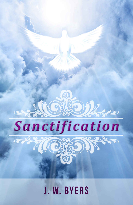

**J. W. BYERS**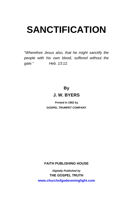*"Wherefore Jesus also, that he might sanctify the people with his own blood, suffered without the gate." Heb. 13:12.*

# **By J. W. BYERS**

**Printed in 1902 by GOSPEL TRUMPET COMPANY** 

**FAITH PUBLISHING HOUSE** 

*Digitally Published by*  **THE GOSPEL TRUTH <www.churchofgodeveninglight.com>**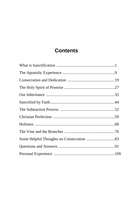# **Contents**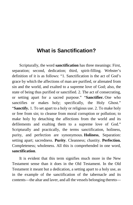# <span id="page-4-0"></span>**What is Sanctification?**

Scripturally, the word **sanctification** has three meanings: First, separation; second, dedication; third, spirit-filling. Webster's definition of it is as follows: "1. Sanctification is the act of God's grace by which the affections of man are purified, or alienated from sin and the world, and exalted to a supreme love of God; also, the state of being thus purified or sanctified. 2. The act of consecrating, or setting apart for a sacred purpose." "**Sanctifier.** One who sanctifies or makes holy; specifically, the Holy Ghost." "**Sanctify.** 1. To set apart to a holy or religious use. 2. To make holy or free from sin; to cleanse from moral corruption or pollution; to make holy by detaching the affections from the world and its defilements and exalting them to a supreme love of God." Scripturally and practically, the terms sanctification, holiness, purity, and perfection are synonymous. **Holiness**, Separation: setting apart; sacredness. **Purity**. Cleanness; chastity. **Perfection.** Completeness; wholeness. All this is comprehended in one word, **sanctification**.

It is evident that this term signifies much more in the New Testament sense than it does in the Old Testament. In the Old Testament it meant but a dedication, a setting apart to a holy use, as in the example of the sanctification of the tabernacle and its contents—the altar and laver, and all the vessels belonging thereto—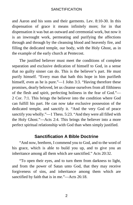and Aaron and his sons and their garments. Lev. 8:10-30. In this dispensation of grace it means infinitely more; for in that dispensation it was but an outward and ceremonial work, but now it is an inwrought work, permeating and purifying the affections through and through by the cleansing blood and heavenly fire, and filling the dedicated temple, our body, with the Holy Ghost, as in the example of the early church at Pentecost.

The justified believer must meet the conditions of complete separation and exclusive dedication of himself to God, in a sense that no guilty sinner can do. This is the believer's part. He must purify himself. "Every man that hath this hope in him purifieth himself, even as he is pure."—1 John 3:3. "Having therefore these promises, dearly beloved, let us cleanse ourselves from all filthiness of the flesh and spirit, perfecting holiness in the fear of God."— 2 Cor. 7:1. This brings the believer into the condition where God can fulfill his part. He can now take exclusive possession of the dedicated temple, and sanctify it. "And the very God of peace sanctify you wholly."—1 Thess. 5:23. "And they were all filled with the Holy Ghost."—Acts 2:4. This brings the believer into a more perfect spiritual relationship with God than when simply justified.

## **Sanctification A Bible Doctrine**

"And now, brethren, I commend you to God, and to the word of his grace, which is able to build you up, and to give you an inheritance among all them which are sanctified." Acts 20:32.

"To open their eyes, and to turn them from darkness to light, and from the power of Satan unto God, that they may receive forgiveness of sins, and inheritance among them which are sanctified by faith that is in me."—Acts 26:18.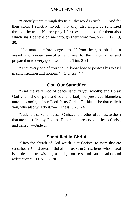"Sanctify them through thy truth: thy word is truth. . . . And for their sakes I sanctify myself, that they also might be sanctified through the truth. Neither pray I for these alone, but for them also which shall believe on me through their word."—John 17:17, 19, 20.

"If a man therefore purge himself from these, he shall be a vessel unto honour, sanctified, and meet for the master's use, and prepared unto every good work."—2 Tim. 2:21.

"That every one of you should know how to possess his vessel in sanctification and honour."—1 Thess. 4:4.

# **God Our Sanctifier**

"And the very God of peace sanctify you wholly; and I pray God your whole spirit and soul and body be preserved blameless unto the coming of our Lord Jesus Christ. Faithful is he that calleth you, who also will do it."—1 Thess. 5:23, 24.

"Jude, the servant of Jesus Christ, and brother of James, to them that are sanctified by God the Father, and preserved in Jesus Christ, and called."—Jude 1.

## **Sanctified In Christ**

"Unto the church of God which is at Corinth, to them that are sanctified inChrist Jesus." "But of him are ye in Christ Jesus, who of God is made unto us wisdom, and righteousness, and sanctification, and redemption."—1 Cor. 1:2, 30.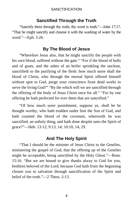# **Sanctified Through the Truth**

"Sanctify them through thy truth; thy word is truth."—John 17:17. "That he might sanctify and cleanse it with the washing of water by the word."—Eph. 5:26.

# **By The Blood of Jesus**

"Wherefore Jesus also, that he might sanctify the people with his own blood, suffered without the gate." "For if the blood of bulls and of goats, and the ashes of an heifer sprinkling the unclean, sanctifieth to the purifying of the flesh: how much more shall the blood of Christ, who through the eternal Spirit offered himself without spot to God, purge your conscience from dead works to serve the living God?" "By the which will we are sanctified through the offering of the body of Jesus Christ once for all." "For by one offering he hath perfected for ever them that are sanctified."

"Of how much sorer punishment, suppose ye, shall he be thought worthy, who hath trodden under foot the Son of God, and hath counted the blood of the covenant, wherewith he was sanctified, an unholy thing, and hath done despite unto the Spirit of grace?"—Heb. 13:12; 9:13, 14; 10:10, 14, 29.

# **And The Holy Spirit**

"That I should be the minister of Jesus Christ to the Gentiles, ministering the gospel of God, that the offering up of the Gentiles might be acceptable, being sanctified by the Holy Ghost."—Rom. 15:16. "But we are bound to give thanks alway to God for you, brethren beloved of the Lord, because God hath from the beginning chosen you to salvation through sanctification of the Spirit and belief of the truth."—2 Thess. 2:13.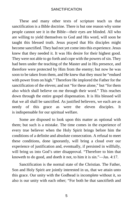These and many other texts of scripture teach us that sanctification is a Bible doctrine. There is but one reason why some people cannot see it in the Bible—their eyes are blinded. All who are willing to yield themselves to God and His word, will soon be taught this blessed truth. Jesus prayed that His disciples might become sanctified. They had not yet come into this experience. Jesus knew that they needed it. It was His desire for their highest good. They were not able to go forth and cope with the powers of sin. They had been under the teaching of the Master and in His presence, and therefore were protected by Him from the enemy; but now he was soon to be taken from them, and He knew that they must be "endued with power from on high." Therefore He implored the Father for the sanctification of the eleven; and not "for these alone," but "for them also which shall believe on me through their word." This reaches down through the entire gospel dispensation. It is His blessed will that we all shall be sanctified. As justified believers, we each are as needy of this grace as were the eleven disciples. It is [indispensable](https://www.gutenberg.org/files/26691/26691-h/26691-h.htm#cn2) for our spiritual welfare.

Some are disposed to look upon this matter as optional with them; but such is a mistake. The time comes in the experience of every true believer when the Holy Spirit brings before him the conditions of a definite and absolute consecration. A refusal to meet these conditions, done ignorantly, will bring a cloud over our experience of justification and, eventually, if persisted in willfully, will bring us into God's utter disapproval. "Therefore to him that knoweth to do good, and doeth it not, to him it is sin."—Jas. 4:17.

Sanctification is the normal state of the Christian. The Father, Son and Holy Spirit are jointly interested in us, that we attain unto this grace. Our unity with the Godhead is incomplete without it, so also is our unity with each other; "For both he that sanctifieth and

5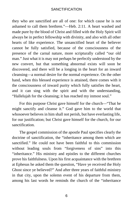they who are sanctified are all of one: for which cause he is not ashamed to call them brethren."—Heb. 2:11. A heart washed and made pure by the blood of Christ and filled with the Holy Spirit will always be in perfect fellowship with divinity, and also with all other hearts of like experience. The unsanctified heart of the believer cannot be fully satisfied, because of the consciousness of the presence of the carnal nature, more scripturally called "our old man." Just what it is may not perhaps be perfectly understood by the new convert, but that something abnormal exists will soon be discovered, and there will be a longing in the heart for an inward cleansing—a normal desire for the normal experience. On the other hand, when this blessed experience is attained, there comes with it the consciousness of inward purity which fully satisfies the heart, and it can sing with the spirit and with the understanding, "Hallelujah for the cleansing; it has reached my inmost soul."

For this purpose Christ gave himself for the church—"That he might sanctify and cleanse it." God gave him to the world that whosoever believes in him shall not perish, but have everlasting life, for our justification; but Christ gave himself for the church, for our sanctification.

The gospel commission of the apostle Paul specifies clearly the doctrine of sanctification, the "inheritance among them which are sanctified." He could not have been faithful to this commission without leading souls from "forgiveness of sins" into this "inheritance." His ministry and epistles to the different churches prove his faithfulness. Upon his first acquaintance with the brethren at Ephesus he asked them the question, "Have ye received the Holy Ghost since ye believed?" And after three years of faithful ministry in that city, upon the solemn event of his departure from them, among his last words he reminds the church of the "inheritance

6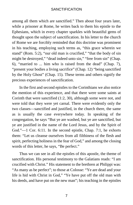among all them which are sanctified." Then about four years later, while a prisoner at Rome, he writes back to them his epistle to the Ephesians, which in every chapter sparkles with beautiful gems of thought upon the subject of sanctification. In his letter to the church of Rome we are forcibly reminded that this doctrine was prominent in his teaching, employing such terms as, "this grace wherein we stand" (Rom. 5:2), "our old man is crucified," "that the body of sin might be destroyed," "dead indeed unto sin," "free from sin" (Chap. 6), "married to ... him who is raised from the dead" (Chap. 7), "present your bodies a living sacrifice" (Chap. 12) "being sanctified by the Holy Ghost" (Chap. 15). These terms and others signify the precious experiences of sanctification.

In the first and second epistles to the Corinthians we also notice the mention of this experience, and that there were some saints at Corinth that were sanctified (1:2, 30), although some were not, and were told that they were yet carnal. There were evidently only the two classes—sanctified and justified, in the church there, the same as is usually the case everywhere today. In speaking of the congregation, he says "But ye are washed, but ye are sanctified, but ye are justified in the name of the Lord Jesus, and by the Spirit of God."—1 Cor. 6:11. In the second epistle, Chap. 7:1, he exhorts them: "Let us cleanse ourselves from all filthiness of the flesh and spirit, perfecting holiness in the fear of God," and among the closing words of this letter, he says, "Be perfect."

Thus we can see in all the epistles of this apostle, the theme of sanctification. His personal testimony to the Galatians reads: "I am crucified with Christ." His statement to the brethren at Philippi was: "As many as be perfect"; to those at Colosse: "Ye are dead and your life is hid with Christ in God," "Ye have put off the old man with his deeds, and have put on the new man"; his teaching in the epistles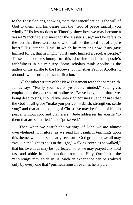to the Thessalonians, showing them that sanctification is the will of God to them, and his desire that the "God of peace sanctify you wholly." His instructions to Timothy show how we may become a vessel "sanctified and meet for the Master's use," and he refers to the fact that there were some who "call on the Lord out of a pure heart." His letter to Titus, in which he mentions how Jesus gave himself for us, that he might "purify unto himself a peculiar people." These all add testimony to this doctrine and the apostle's faithfulness in his ministry. Some scholars think Apollos is the author of the epistle to the Hebrews; but whether Paul or Apollos, it abounds with truth upon sanctification.

All the other writers of the New Testament teach the same truth. James says, "Purify your hearts, ye double-minded." Peter gives emphasis to the doctrine of holiness: "Be ye holy," and that "we, being dead to sins, should live unto righteousness"; and desires that the God of all grace "make you perfect, stablish, strengthen, settle you;" and that at the coming of Christ "ye may be found of him in peace, without spot and blameless." Jude addresses his epistle "to them that are sanctified," and "preserved."

Then when we search the writings of John we are almost overwhelmed with glory, as we read his beautiful teachings upon this theme, which he so clearly sets forth. God grant that we all may "walk in the light as he is in the light," walking "even as he walked," that his love in us may be "perfected," that we may prayerfully hold fast and abide in this "unction from the Holy One," that the "anointing" may abide in us. Such an experience can be realized only by every one that "purifieth himself even as he is pure."

8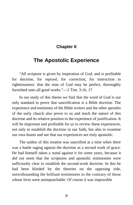# **Chapter II**

# <span id="page-12-0"></span>**The Apostolic Experience**

"All scripture is given by inspiration of God, and is profitable for doctrine, for reproof, for correction, for instruction in righteousness: that the man of God may be perfect, thoroughly furnished unto all good works."—2 Tim. 3:16, 17.

In our study of this theme we find that the word of God is our only standard to prove that sanctification is a Bible doctrine. The experience and testimony of the Bible writers and the other apostles of the early church also prove to us and teach the nature of this doctrine and its relative position to the experience of justification. It will be important and profitable for us to review these experiences, not only to establish the doctrine in our faith, but also to examine our own hearts and see that our experiences are truly apostolic.

The author of this treatise was sanctified at a time when there was a battle raging against the doctrine as a second work of grace. He had himself taken a stand against it for some years, because it did not seem that the scriptures and apostolic testimonies were sufficiently clear to establish the second-work doctrine. In this he had been blinded by the theories on the opposing side, notwithstanding the brilliant testimonies to the contrary of those whose lives were unimpeachable. Of course it was impossible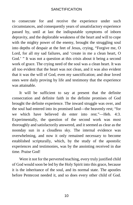to consecrate for and receive the experience under such circumstances, and consequently years of unsatisfactory experience passed by, until at last the indisputable symptoms of inborn depravity, and the deplorable weakness of the heart and will to cope with the mighty power of the enemy, brought the struggling soul into depths of despair at the feet of Jesus, crying, "Forgive me, O Lord, for all my sad failures, and 'create in me a clean heart, O God.' " It was not a question at this crisis about it being a second work of grace. The crying need of the soul was a clean heart. It was all too evident that the heart was not clean, and it was also evident that it was the will of God, even my sanctification; and dear loved ones were daily proving by life and testimony that the experience was attainable.

It will be sufficient to say at present that the definite consecration and definite faith in the definite promises of God brought the definite experience. The inward struggle was over, and the soul had entered into its promised land—the heavenly rest; "for we which have believed do enter into rest."—Heb. 4:3. Experimentally, the question of the second work was most thoroughly and satisfactorily answered, and it seemed as clear as the noonday sun in a cloudless sky. The internal evidence was overwhelming, and now it only remained necessary to become established scripturally, which, by the study of the apostolic experiences and testimonies, was by the anointing received in due time. Praise God!

Were it not for the perverted teaching, every truly justified child of God would soon be led by the Holy Spirit into this grace, because it is the inheritance of the soul, and its normal state. The apostles before Pentecost needed it, and so does every other child of God.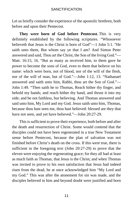Let us briefly consider the experience of the apostolic brethren, both before and upon their Pentecost.

**They were born of God before Pentecost.** This is very definitely established by the following scriptures. "Whosoever believeth that Jesus is the Christ is born of God"—1 John 5:1. "He saith unto them, But whom say ye that I am? And Simon Peter answered and said, Thou art the Christ, the Son of the living God."— Matt. 16:15, 16. "But as many as received him, to them gave he power to become the sons of God, even to them that believe on his name: which were born, not of blood, nor of the will of the flesh, nor of the will of man, but of God."—John 1:12, 13. "Nathanael answered and saith unto him, Rabbi, thou art the Son of God."— John 1:49. "Then saith he to Thomas, Reach hither thy finger, and behold my hands; and reach hither thy hand, and thrust it into my side; and be not faithless, but believing. And Thomas answered and said unto him, My Lord and my God. Jesus saith unto him, Thomas, because thou hast seen me, thou hast believed: blessed are they that have not seen, and yet have believed."—John 20:27-29.

This is sufficient to prove their experience, both before and after the death and resurrection of Christ. Some would contend that the disciples could not have been regenerated in a true New Testament sense before Pentecost, because the plan of salvation was not finished before Christ's death on the cross. If this were true, there is sufficient in the foregoing text (John 20:27-29) to prove that the eleven were enjoying the regenerating grace; for they all had at least as much faith as Thomas, that Jesus is the Christ; and when Thomas was invited to prove to his own satisfaction that Jesus had indeed risen from the dead, he at once acknowledged him "My Lord and my God." This was after the atonement for sin was made, and the disciples believed in him and beyond doubt were justified and born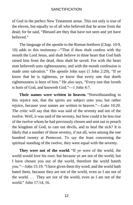of God in the perfect New Testament sense. This not only is true of the eleven, but equally so of all who believed that he arose from the dead; for he said, "Blessed are they that have not seen and yet have believed."

The language of the apostle to the Roman brethren (Chap. 10:9, 10) adds to this testimony—"That if thou shalt confess with thy mouth the Lord Jesus, and shalt believe in thine heart that God hath raised him from the dead, thou shalt be saved. For with the heart man believeth unto righteousness; and with the mouth confession is made unto salvation." The apostle John says (1 John 2:29), "If ye know that he is righteous, ye know that every one that doeth righteousness is born of him." He also says, "Every one that loveth is born of God, and knoweth God."—1 John 4:7.

**Their names were written in heaven.** "Notwithstanding in this rejoice not, that the spirits are subject unto you; but rather rejoice, because your names are written in heaven."—Luke 10:20. The critic will say that this was said of the seventy and not of the twelve. Well, it was said of the seventy, but how could it be less true of the twelve whom he had previously chosen and sent out to preach the kingdom of God, to cast out devils, and to heal the sick? It is likely that a number of those seventy, if not all, were among the one hundred twenty at Pentecost. To say the least concerning the spiritual standing of the twelve, they were equal with the seventy.

**They were not of the world.** "If ye were of the world, the world would love his own: but because ye are not of the world, but I have chosen you out of the world, therefore the world hateth you."—John 15:19. "I have given them thy word; and the world hath hated them, because they are not of the world, even as I am not of the world. . . They are not of the world, even as I am not of the world." John 17:14, 16.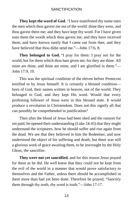**They kept the word of God.** "I have manifested thy name unto the men which thou gavest me out of the world: thine they were, and thou gavest them me; and they have kept thy word. For I have given unto them the words which thou gavest me; and they have received them, and have known surely that I came out from thee, and they have believed that thou didst send me."—John 17:6, 8.

**They belonged to God.** "I pray for them: I pray not for the world, but for them which thou hast given me; for they are thine. All mine are thine, and thine are mine; and I am glorified in them."— John 17:9, 10.

This was the spiritual condition of the eleven before Pentecost testified to by Jesus himself. It is certainly a blessed condition born of God, their names written in heaven, not of the world. They belonged to God, and they kept His word. Would that every professing follower of Jesus were in this blessed state. It would produce a revolution in Christendom. Does not this signify all that can possibly be comprehended in justification?

Then after the blood of Jesus had been shed and the ransom for sin paid, he opened their understanding (Luke 24:45) that they might understand the scriptures, how he should suffer and rise again from the dead. We see that they believed in him the Redeemer, and now understood the object of his suffering and death; but there was still a glorious work of grace awaiting them, to be inwrought by the Holy Ghost, the sanctifier.

**They were not yet sanctified**, and for this reason Jesus prayed for them as he did. He well knew that they could not be kept from the evil of the world in a manner that would prove satisfactory to themselves and the Father, unless there should be accomplished in them more than had yet been done. Therefore he prayed, "Sanctify them through thy truth, thy word is truth."—John 17:17.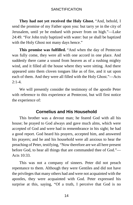**They had not yet received the Holy Ghost.** "And, behold, I send the promise of my Father upon you: but tarry ye in the city of Jerusalem, until ye be endued with power from on high."—Luke 24:49. "For John truly baptized with water: but ye shall be baptized with the Holy Ghost not many days hence."

**This promise was fulfilled.** "And when the day of Pentecost was fully come, they were all with one accord in one place. And suddenly there came a sound from heaven as of a rushing mighty wind, and it filled all the house where they were sitting. And there appeared unto them cloven tongues like as of fire, and it sat upon each of them. And they were all filled with the Holy Ghost."—Acts  $2:1-4.$ 

We will presently consider the testimony of the apostle Peter with reference to this experience at Pentecost, but will first notice the experience of:

# **Cornelius and His Household**

This brother was a devout man; he feared God with all his house; he prayed to God always and gave much alms, which were accepted of God and were had in remembrance in his sight; he had a good report. God heard his prayers, accepted him, and answered his prayers; and he and his household were all anxious to hear the preaching of Peter, testifying, "Now therefore are we all here present before God, to hear all things that are commanded thee of God."— Acts 10:33.

This was not a company of sinners. Peter did not preach repentance to them. Although they were Gentiles and did not have the privileges that many others had and were not acquainted with the apostles, they were acquainted with God. Peter expressed his surprise at this, saying, "Of a truth, I perceive that God is no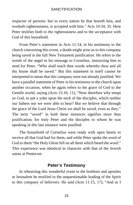respecter of persons: but in every nation he that feareth him, and worketh righteousness, is accepted with him." Acts 10:34, 35. Here Peter testifies both to the righteousness and to the acceptance with God of this household.

From Peter's statement in Acts 11:14, in his testimony to the church concerning this event, a doubt might arise as to this company being saved in the full New Testament justification. He refers to the words of the angel in his message to Cornelius, instructing him to send for Peter, "Who shall teach thee words whereby thou and all thy house shall be saved." But this statement in itself cannot be interpreted to mean that this company were not already justified. We have a parallel statement of Peter in his testimony to the church upon another occasion, when he again refers to the grace of God to the Gentile world, saying (Acts 15:10, 11), "Now therefore why tempt ye God, to put a yoke upon the neck of the disciples, which neither our fathers nor we were able to bear? But we believe that through the grace of the Lord Jesus Christ we shall be saved, even as they." The term "saved" in both these instances signifies more than justification; for truly Peter and the disciples to whom he was speaking in this last instance were justified.

The household of Cornelius were ready with open hearts to receive all that God had for them, and while Peter spoke the word of God to them "the Holy Ghost fell on all them which heard the word." This experience was identical in character with that of the Jewish saints at Pentecost.

# **Peter's Testimony**

In rehearsing this wonderful event to the brethren and apostles at Jerusalem he testified to the unquestionable leading of the Spirit to this company of believers. He said (Acts 11:15, 17), "And as I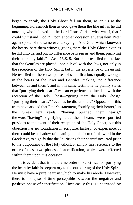began to speak, the Holy Ghost fell on them, as on us at the beginning. Forasmuch then as God gave them the like gift as he did unto us, who believed on the Lord Jesus Christ; what was I, that I could withstand God?" Upon another occasion at Jerusalem Peter again spoke of the same event, saying, "And God, which knoweth the hearts, bare them witness, giving them the Holy Ghost, even as he did unto us; and put no difference between us and them, purifying their hearts by faith."—Acts 15:8, 9. But Peter testified to the fact that the Gentiles are placed upon a level with the Jews, not only in the reception of the Holy Spirit, but in the experience of cleansing. He testified to these two phases of sanctification, equally wrought in the hearts of the Jews and Gentiles, making "no difference between us and them"; and in this same testimony he plainly states that "purifying their hearts" was an experience co-incident with the reception of the Holy Ghost—"giving them the Holy Ghost," "purifying their hearts," "even as he did unto us." Opposers of this truth have argued that Peter's statement, "purifying their hearts," in the Greek text reads, "having purified their hearts," the [word](https://www.gutenberg.org/files/26691/26691-h/26691-h.htm#cn3) "having" signifying that their hearts were purified previous to the event of their reception of the Holy Ghost; but this objection has no foundation in scripture, history, or experience. If there could be a shadow of meaning in this form of this word in the Greek text, to signify that the "purifying their hearts" occurred prior to the outpouring of the Holy Ghost, it simply has reference to the order of these two phases of sanctification, which were effected within them upon this occasion.

It is evident that in the divine order of sanctification purifying the heart by faith is preparatory to the outpouring of the Holy Spirit. He must have a pure heart in which to make his abode. However, there is no lapse of time perceptible between the **negative** and **positive** phase of sanctification. How easily this is understood by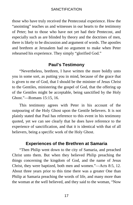those who have truly received the Pentecostal experience. How the "anointing" teaches us and witnesses in our hearts to the testimony of Peter; but to those who have not yet had their Pentecost, and especially such as are blinded by theory and the doctrines of men, there is likely to be discussion and argument of words. The apostles and brethren at Jerusalem had no argument to make when Peter rehearsed his experience. They simply "glorified God."

# **Paul's Testimony**

"Nevertheless, brethren, I have written the more boldly unto you in some sort, as putting you in mind, because of the grace that is given to me of God, that I should be the minister of Jesus Christ to the Gentiles, ministering the gospel of God, that the offering up of the Gentiles might be acceptable, being sanctified by the Holy Ghost."—Romans 15:15, 16.

This testimony agrees with Peter in his account of the outpouring of the Holy Ghost upon the Gentile believers. It is not plainly stated that Paul has reference to this event in his testimony quoted, yet we can see clearly that he does have reference to the experience of sanctification, and that it is identical with that of all believers, being a specific work of the Holy Ghost.

# **Experiences of the Brethren at Samaria**

"Then Philip went down to the city of Samaria, and preached Christ unto them. But when they believed Philip preaching the things concerning the kingdom of God, and the name of Jesus Christ, they were baptized, both men and women."—Acts 8:5, 12. About three years prior to this time there was a greater One than Philip at Samaria preaching the words of life, and many more than the woman at the well believed, and they said to the woman, "Now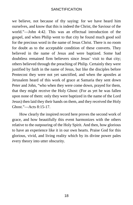we believe, not because of thy saying: for we have heard him ourselves, and know that this is indeed the Christ, the Saviour of the world."—John 4:42. This was an effectual introduction of the gospel, and when Philip went to that city he found much good soil for the precious word in the name of Jesus Christ. There is no room for doubt as to the acceptable condition of these converts. They believed in the name of Jesus and were baptized. Some had doubtless remained firm believers since Jesus' visit to that city; others believed through the preaching of Philip. Certainly they were justified by faith in the name of Jesus, but like the disciples before Pentecost they were not yet sanctified, and when the apostles at Jerusalem heard of this work of grace at Samaria they sent down Peter and John, "who when they were come down, prayed for them, that they might receive the Holy Ghost: (For as yet he was fallen upon none of them: only they were baptized in the name of the Lord Jesus) then laid they their hands on them, and they received the Holy Ghost."—Acts 8:15-17.

How clearly the inspired record here proves the second work of grace, and how beautifully this event harmonizes with the others relative to the outpouring of the Holy Spirit. And then, how glorious to have an experience like it in our own hearts. Praise God for this glorious, vivid, and living reality which by its divine power pales every theory into utter obscurity.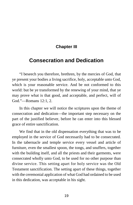# **Chapter III**

# <span id="page-22-0"></span>**Consecration and Dedication**

"I beseech you therefore, brethren, by the mercies of God, that ye present your bodies a living sacrifice, holy, acceptable unto God, which is your reasonable service. And be not conformed to this world: but be ye transformed by the renewing of your mind, that ye may prove what is that good, and acceptable, and perfect, will of God."—Romans 12:1, 2.

In this chapter we will notice the scriptures upon the theme of consecration and dedication—the important step necessary on the part of the justified believer, before he can enter into this blessed grace of entire sanctification.

We find that in the old dispensation everything that was to be employed in the service of God necessarily had to be consecrated. In the tabernacle and temple service every vessel and article of furniture, even the smallest spoon, the tongs, and snuffers, together with the building itself, and all the priests and their garments, were consecrated wholly unto God, to be used for no other purpose than divine service. This setting apart for holy service was the Old Testament sanctification. The setting apart of these things, together with the ceremonial application of what God had ordained to be used in this dedication, was acceptable in his sight.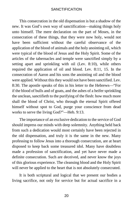This consecration in the old dispensation is but a shadow of the new. It was God's own way of sanctification—making things holy unto himself. The mere declaration on the part of Moses, in the consecration of these things, that they were now holy, would not have been sufficient without the careful observance of the application of the blood of animals and the holy anointing oil, which were typical of the blood of Jesus and the Holy Spirit. Some of the articles of the tabernacles and temple were sanctified simply by a setting apart and sprinkling with oil (Lev. 8:10), while others required the application of oil and blood. Lev. 8:11, 15. In the consecration of Aaron and his sons the anointing oil and the blood were applied. Without this they would not have been sanctified. Lev. 8:30. The apostle speaks of this in his letter to the Hebrews—"For if the blood of bulls and of goats, and the ashes of a heifer sprinkling the unclean, sanctifieth to the purifying of the flesh: how much more shall the blood of Christ, who through the eternal Spirit offered himself without spot to God, purge your conscience from dead works to serve the living God?"—Heb. 9:13.

The importance of an exclusive dedication to the service of God should impress our minds with deep solemnity. Anything held back from such a dedication would most certainly have been rejected in the old dispensation, and truly it is the same in the new. Many professing to follow Jesus into a thorough consecration, are at heart disposed to keep back some treasured idol. Many have doubtless made a profession of sanctification, and yet have never made a definite consecration. Such are deceived, and never know the joys of this glorious experience. The cleansing blood and the Holy Spirit will never be applied to the heart that is not absolutely consecrated.

It is both scriptural and logical that we present our bodies a living sacrifice, not only for service but for actual sacrifice in a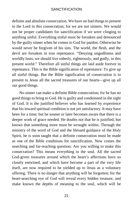definite and absolute consecration. We have no bad things to present to the Lord in this consecration; for we are not sinners. We would not be proper candidates for sanctification if we were clinging to anything sinful. Everything sinful must be forsaken and denounced by the guilty sinner when he comes to God for pardon. Otherwise he would never be forgiven of his sins. The world, the flesh, and the devil are forsaken in true repentance. "Denying ungodliness and worldly lusts, we should live soberly, righteously, and godly, in this present world." Therefore all sinful things are laid aside forever in repentance. This is the Bible signification of repentance: To give up all sinful things. But the Bible signification of consecration is to present to Jesus all the sacred treasures of our hearts—give up all our good things.

No sinner can make a definite Bible consecration; for he has no good things to bring to God. He is guilty and condemned in the sight of God. It is the justified believer who has learned by experience that his inward spiritual condition is not yet satisfactory. It may have been for a time; but he sooner or later becomes aware that there is a deeper work of grace needed. He doubts not that he is justified, but knows that something more must be wrought within. Through the ministry of the word of God and the blessed guidance of the Holy Spirit, he is soon taught that a definite consecration must be made as one of the Bible conditions for sanctification. Now comes the searching and far-reaching question: Are you willing to make this consecration? This means everything to the soul. All the sacred God-given treasures around which the heart's affections have so closely entwined, and which have become a part of the very life itself, are now required to be yielded up to Jesus as a voluntary offering. There is no danger that anything will be forgotten; for the heart-searching eye of God will reveal every hidden treasure, and make known the depths of meaning to the soul, which will be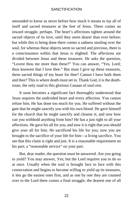astounded to know as never before how much it means to lay all of itself and sacred treasures at the feet of Jesus. There comes an inward struggle, perhaps. The heart's affections tighten around the sacred objects of its love, until they seem dearer than ever before; but while this is being done there comes a sadness stealing over the soul; for whereas these objects seem so sacred and precious, there is a consciousness within that Jesus is slighted. The affections are divided between Jesus and these treasures. He asks the question, "Lovest thou me more than these?" You can answer, "Yes, Lord; thou knowest that I love thee." But must I give up these treasures, these sacred things of my heart for thee? Cannot I have both them and thee? This is where death must set in. Thank God, it is the deathroute, the only road to this glorious Canaan of soul-rest.

It soon becomes a significant fact thoroughly understood that Jesus requires the undivided heart and every affection. You cannot refuse him. He has done too much for you. He suffered without the gate that he might sanctify you with his own blood. He gave himself for the church that he might sanctify and cleanse it; and now how can you withhold anything from him? He has a just right to all your affections. He gave his all for you, and now it is right that you should give your all for him. He sacrificed his life for you; now you are brought to the sacrifice of your life for him—a living sacrifice. You see that this claim is right and just. It is a reasonable requirement on his part; a "reasonable service" on your part.

But, dear reader, the question must be answered. Are you going to yield? You may answer, Yes; but the Lord requires you to do so at once. Usually when the soul is brought face to face with this consecration and begins to become willing to yield up its treasures, it lets go the easiest ones first, and as one by one they are counted over to the Lord there comes a final struggle; the dearest one of all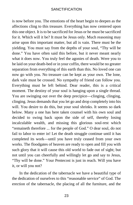is now before you. The emotions of the heart begin to deepen as the affections cling to this treasure. Everything has now centered upon this one object. It is to be sacrificed for Jesus or he must be sacrificed for it. Which will it be? It must be Jesus only. Much reasoning may arise upon this important matter, but all is vain. There must be the yielding. You must say from the depths of your soul, "Thy will be done." You have often said this before, but it never meant nearly what it does now. You truly feel the agonies of death. Were you to be laid on your death-bed or in your coffin, there would be no greater separation from everything of this earth than this. No loved one can now go with you. No treasure can be kept as your own. The lone, dark vale must be crossed. No sympathy of friend can follow you. Everything must be left behind. Dear reader, this is a critical moment. The destiny of your soul is hanging upon a single thread. You are swinging out over the deep precipice—clinging, clinging, clinging. Jesus demands that you let go and drop completely into his will. You desire to do this, but your soul shrinks. It seems so dark below. Many a one has here taken counsel with his own soul and decided to swing back upon the side of self, thereby losing incalculable wealth, and missing this glorious soul-rest which "remaineth therefore ... for the people of God." O dear soul, do not fail to labor to enter in! Let the death struggle continue until it has completed its work—until you have truly ceased from your own works. The floodgates of heaven are ready to open and fill you with such glory that it will cause this old world to fade out of sight; but not until you can cheerfully and willingly let go and say to Jesus, "Thy will be done." Your Pentecost is just in reach. Will you have it, or will you not?

In the dedication of the tabernacle we have a beautiful type of the dedication of ourselves to this "reasonable service" of God. The erection of the tabernacle, the placing of all the furniture, and the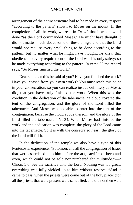arrangement of the entire structure had to be made in every respect "according to the pattern" shown to Moses on the mount. In the completion of all the work, we read in Ex. 40 that it was now all done "as the Lord commanded Moses." He might have thought it did not matter much about some of these things, and that the Lord would not require every small thing to be done according to the pattern; but no matter what he might have thought, he knew that obedience to every requirement of the Lord was his only safety; so he made everything according to the pattern. In verse 33 the record says, "So Moses finished the work."

Dear soul, can this be said of you? Have you finished the work? Have you ceased from your own works? You must reach this point in your consecration, so you can realize just as definitely as Moses did, that you have truly finished the work. When this was the condition in the dedication of the tabernacle, "a cloud covered the tent of the congregation, and the glory of the Lord filled the tabernacle. And Moses was not able to enter into the tent of the congregation, because the cloud abode thereon, and the glory of the Lord filled the tabernacle." V. 34. When Moses had finished the work and the dedication was complete, the glory of the Lord came into the tabernacle. So it is with the consecrated heart; the glory of the Lord will fill it.

In the dedication of the temple we also have a type of this Pentecostal experience. "Solomon, and all the congregation of Israel that were assembled unto him before the ark, sacrificed sheep and oxen, which could not be told nor numbered for multitude."—2 Chron. 5:6. See the sacrifice unto the Lord. Nothing was too great; everything was fully yielded up to him without reserve. "And it came to pass, when the priests were come out of the holy place: (for all the priests that were present were sanctified, and did not then wait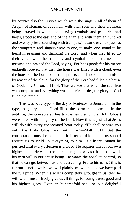by course: also the Levites which were the singers, all of them of Asaph, of Heman, of Jeduthun, with their sons and their brethren, being arrayed in white linen having cymbals and psalteries and harps, stood at the east end of the altar, and with them an hundred and twenty priests sounding with trumpets:) it came even to pass, as the trumpeters and singers were as one, to make one sound to be heard in praising and thanking the Lord; and when they lifted up their voice with the trumpets and cymbals and instruments of musick, and praised the Lord, saying, For he is good; for his mercy endureth forever: that then the house was filled with a cloud, even the house of the Lord; so that the priests could not stand to minister by reason of the cloud; for the glory of the Lord had filled the house of God."—2 Chron. 5:11-14. Thus we see that when the sacrifice was complete and everything was in perfect order, the glory of God filled the temple.

This was but a type of the day of Pentecost at Jerusalem. In the type, the glory of the Lord filled the consecrated temple. In the antitype, the consecrated hearts (the temples of the Holy Ghost) were filled with the glory of the Lord. Now this is just what Jesus will do with every consecrated heart today. "He shall baptize you with the Holy Ghost and with fire."—Matt. 3:11. But the consecration must be complete. It is reasonable that Jesus should require us to yield up everything to him. Our hearts cannot be purified until every affection is yielded. He requires this for our own highest good. He wants the supreme right of way so that he can work his own will in our entire being. He wants the absolute control, so that he can get between us and everything. Praise his name! this is for our benefit, which we will plainly see when once we have paid the full price. When his will is completely wrought in us, then he will with himself freely give us all things for our greatest good and his highest glory. Even an hundredfold shall be our delightful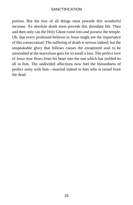portion. But the loss of all things must precede this wonderful increase. An absolute death must precede this abundant life. Then and then only can the Holy Ghost come into and possess the temple. Oh, that every professed believer in Jesus might see the importance of this consecration! The suffering of death is serious indeed; but the unspeakable glory that follows causes the enraptured soul to be astonished at the marvelous gain for so small a loss. The perfect love of Jesus now flows from his heart into the one which has yielded its all to him. The undivided affections now feel the blessedness of perfect unity with him—married indeed to him who is raised from the dead.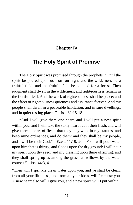# **Chapter IV**

# <span id="page-30-0"></span>**The Holy Spirit of Promise**

The Holy Spirit was promised through the prophets. "Until the spirit be poured upon us from on high, and the wilderness be a fruitful field, and the fruitful field be counted for a forest. Then judgment shall dwell in the wilderness, and righteousness remain in the fruitful field. And the work of righteousness shall be peace; and the effect of righteousness quietness and assurance forever. And my people shall dwell in a peaceable habitation, and in sure dwellings, and in quiet resting places."—Isa. 32:15-18.

"And I will give them one heart, and I will put a new spirit within you; and I will take the stony heart out of their flesh, and will give them a heart of flesh: that they may walk in my statutes, and keep mine ordinances, and do them: and they shall be my people, and I will be their God."—Ezek. 11:19, 20. "For I will pour water upon him that is thirsty, and floods upon the dry ground: I will pour my spirit upon thy seed, and my blessing upon thine offspring: and they shall spring up as among the grass, as willows by the water courses."—Isa. 44:3, 4.

"Then will I sprinkle clean water upon you, and ye shall be clean: from all your filthiness, and from all your idols, will I cleanse you. A new heart also will I give you, and a new spirit will I put within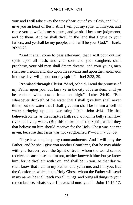you: and I will take away the stony heart out of your flesh, and I will give you an heart of flesh. And I will put my spirit within you, and cause you to walk in my statutes, and ye shall keep my judgments, and do them. And ye shall dwell in the land that I gave to your fathers; and ye shall be my people, and I will be your God."—Ezek. 36:25-28.

"And it shall come to pass afterward, that I will pour out my spirit upon all flesh; and your sons and your daughters shall prophesy, your old men shall dream dreams, and your young men shall see visions: and also upon the servants and upon the handmaids in those days will I pour out my spirit."—Joel 2:28, 29.

**Promised through Christ.** "And, behold, I send the promise of my Father upon you: but tarry ye in the city of Jerusalem, until ye be endued with power from on high."—Luke 24:49. "But whosoever drinketh of the water that I shall give him shall never thirst; but the water that I shall give him shall be in him a well of water springing up into everlasting life."—John 4:14. "He that believeth on me, as the scripture hath said, out of his belly shall flow rivers of living water. (But this spake he of the Spirit, which they that believe on him should receive: for the Holy Ghost was not yet given, because that Jesus was not yet glorified.)"—John 7:38, 39.

"If ye love me, keep my commandments. And I will pray the Father, and he shall give you another Comforter, that he may abide with you forever; even the Spirit of truth; whom the world cannot receive, because it seeth him not, neither knoweth him: but ye know him; for he dwelleth with you, and shall be in you. At that day ye shall know that I am in my Father, and ye in me, and I in you. But the Comforter, which is the Holy Ghost, whom the Father will send in my name, he shall teach you all things, and bring all things to your remembrance, whatsoever I have said unto you."—John 14:15-17,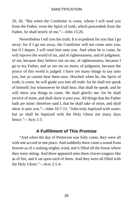20, 26. "But when the Comforter is come, whom I will send you from the Father, even the Spirit of truth, which proceedeth from the Father, he shall testify of me."—John 15:26.

Nevertheless I tell you the truth; It is expedient for you that I go away: for if I go not away, the Comforter will not come unto you; but if I depart, I will send him unto you. And when he is come, he will reprove the world of sin, and of righteousness, and of judgment: of sin, because they believe not on me; of righteousness, because I go to my Father, and ye see me no more; of judgment, because the prince of this world is judged. I have yet many things to say unto you, but ye cannot bear them now. Howbeit when he, the Spirit of truth, is come, he will guide you into all truth: for he shall not speak of himself; but whatsoever he shall hear, that shall he speak: and he will show you things to come. He shall glorify me: for he shall receive of mine, and shall show it unto you. All things that the Father hath are mine: therefore said I, that he shall take of mine, and shall show it unto you."—John 16:7-15. "John truly baptized with water; but ye shall be baptized with the Holy Ghost not many days hence."—Acts 1:5.

# **A Fulfillment of This Promise**

"And when the day of Pentecost was fully come, they were all with one accord in one place. And suddenly there came a sound from heaven as of a rushing mighty wind, and it filled all the house where they were sitting. And there appeared unto them cloven tongues like as of fire, and it sat upon each of them. And they were all filled with the Holy Ghost."—Acts 2:1-4.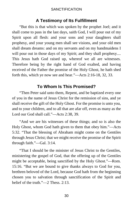# **A Testimony of Its Fulfillment**

"But this is that which was spoken by the prophet Joel; and it shall come to pass in the last days, saith God, I will pour out of my Spirit upon all flesh: and your sons and your daughters shall prophesy, and your young men shall see visions, and your old men shall dream dreams: and on my servants and on my handmaidens I will pour out in those days of my Spirit; and they shall prophesy.... This Jesus hath God raised up, whereof we all are witnesses. Therefore being by the right hand of God exalted, and having received of the Father the promise of the Holy Ghost, he hath shed forth this, which ye now see and hear."—Acts 2:16-18, 32, 33.

# **To Whom Is This Promised?**

"Then Peter said unto them, Repent, and be baptized every one of you in the name of Jesus Christ for the remission of sins, and ye shall receive the gift of the Holy Ghost. For the promise is unto you, and to your children, and to all that are afar off, even as many as the Lord our God shall call."—Acts 2:38, 39.

"And we are his witnesses of these things; and so is also the Holy Ghost, whom God hath given to them that obey him."—Acts 5:32. "That the blessing of Abraham might come on the Gentiles through Jesus Christ; that we might receive the promise of the Spirit through faith."—Gal. 3:14.

"That I should be the minister of Jesus Christ to the Gentiles, ministering the gospel of God, that the offering up of the Gentiles might be acceptable, being sanctified by the Holy Ghost."—Rom. 15:16. "But we are bound to give thanks always to God for you, brethren beloved of the Lord, because God hath from the beginning chosen you to salvation through sanctification of the Spirit and belief of the truth."—2 Thess. 2:13.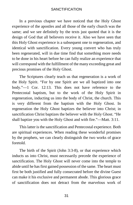In a previous chapter we have noticed that the Holy Ghost experience of the apostles and all those of the early church was the same; and we see definitely by the texts just quoted that it is the design of God that all believers receive it. Also we have seen that this Holy Ghost experience is a subsequent one to regeneration, and identical with sanctification. Every young convert who has truly been regenerated, will in due time find that something more needs to be done in his heart before he can fully realize an experience that will correspond with the fulfillment of the many exceeding great and precious promises of the Holy Ghost.

The Scriptures clearly teach us that regeneration is a work of the Holy Spirit. "For by one Spirit are we all baptized into one body."—1 Cor. 12:13. This does not have reference to the Pentecostal baptism, but to the work of the Holy Spirit in regeneration, inducting us into the body of Christ, the church. This is very different from the baptism with the Holy Ghost. In regeneration the Holy Ghost baptizes the believer into Christ; in sanctification Christ baptizes the believer with the Holy Ghost. "He shall baptize you with the Holy Ghost and with fire."—Matt. 3:11.

This latter is the sanctification and Pentecostal experience. Both are spiritual experiences. When reading these wonderful promises by the prophets, we can clearly distinguish the two works of grace foretold.

The birth of the Spirit (John 3:3-8), or that experience which inducts us into Christ, must necessarily precede the experience of sanctification. The Holy Ghost will never come into the temple to abide until he has first gained possession of the same. The heart must first be both justified and fully consecrated before the divine Guest can make it his exclusive and permanent abode. This glorious grace of sanctification does not detract from the marvelous work of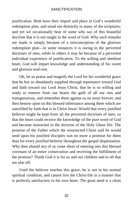justification. Both have their import and place in God's wonderful redemption plan, and stand out distinctly in many of the scriptures; and yet we occasionally hear of some who say of this beautiful doctrine that it is not taught in the word of God. Why such remarks are made is simply because of a misconception of the glorious redemption plan—in some instances it is owing to the perverted doctrines of men, while in others it may be because of a perverted individual experience of justification. To the willing and obedient heart, God will impart knowledge and understanding of his sweet and glorious soul-rest.

Oh, let us praise and magnify the Lord for his wonderful grace that he has so abundantly supplied through repentance toward God and faith toward our Lord Jesus Christ, that he is so willing and ready to remove from our hearts the guilt of all our sins and transgressions, and remember them against us no more forever, and then bestow upon us this blessed inheritance among them which are sanctified by faith that is in Christ Jesus! Would that every justified believer might be kept from all the perverted doctrines of men, so that the heart could receive the knowledge of the pure word of God and become instructed in the doctrine of the Holy Ghost life. The promise of the Father which the resurrected Christ said he would send upon his justified disciples was no more a promise for them than for every justified believer throughout the gospel dispensation. Why then should any of us come short of entering into this blessed covenant of an entire consecration and receiving the fulfillment of the promise? Thank God it is for us and our children and to all that are afar off.

Until the believer reaches this grace, he is not in his normal spiritual condition, and cannot live the Christ-life in a manner that is perfectly satisfactory to his own heart. The great need is a clean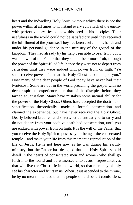heart and the indwelling Holy Spirit, without which there is not the power within at all times to withstand every evil attack of the enemy with perfect victory. Jesus knew this need in his disciples. Their usefulness in the world could not be satisfactory until they received the fulfillment of the promise. They had been useful in his hands and under his personal guidance in the ministry of the gospel of the kingdom. They had already by his help been able to bear fruit, but it was the will of the Father that they should bear more fruit, through the power of the Spirit-filled life; hence they were not to depart from Jerusalem until they were endued with power from on high. "Ye shall receive power after that the Holy Ghost is come upon you." How many of the dear people of God today have never had their Pentecost! Some are out in the world preaching the gospel with no deeper spiritual experience than that of the disciples before they tarried at Jerusalem. Many have mistaken some natural ability for the power of the Holy Ghost. Others have accepted the doctrine of sanctification theoretically—made a formal consecration and claimed the experience, but have never received the Holy Ghost. Dearly beloved brethren and sisters, let us entreat you to tarry and do not depart from your positive death bed consecration, until you are endued with power from on high. It is the will of the Father that you receive the Holy Spirit to possess your being—the consecrated temple—and make your life from this moment a reproduction of the life of Jesus. He is not here now as he was during his earthly ministry, but the Father has designed that the Holy Spirit should dwell in the hearts of consecrated men and women who shall go forth into the world and be witnesses unto Jesus—representatives that will live the Christ-life in this world, so that men may plainly see his character and fruits in us. When Jesus ascended to the throne, he by no means intended that his people should be left comfortless,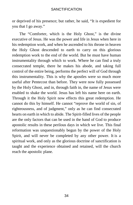or deprived of his presence; but rather, he said, "It is expedient for you that I go away."

The "Comforter, which is the Holy Ghost," is the divine executive of Jesus. He was the power and life in Jesus when here in his redemption work, and when he ascended to his throne in heaven the Holy Ghost descended to earth to carry on this glorious redemption work to the end of the world. But he must have human instrumentality through which to work. Where he can find a truly consecrated temple, there he makes his abode, and taking full control of the entire being, performs the perfect will of God through this instrumentality. This is why the apostles were so much more useful after Pentecost than before. They were now fully possessed by the Holy Ghost, and in, through faith in, the name of Jesus were enabled to shake the world. Jesus has left his name here on earth. Through it the Holy Spirit now effects this great redemption. He cannot do this by himself. He cannot "reprove the world of sin, of righteousness, and of judgment," only as he can find consecrated hearts on earth in which to abide. The Spirit-filled lives of the people are the only factors that can be used in the hand of God to produce apostolic results in these perilous days in which we live. This final reformation was unquestionably begun by the power of the Holy Spirit, and will never be completed by any other power. It is a spiritual work, and only as the glorious doctrine of sanctification is taught and the experience obtained and retained, will the church reach the apostolic plane.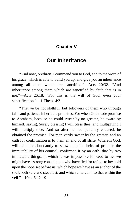### **Chapter V**

## **Our Inheritance**

"And now, brethren, I commend you to God, and to the word of his grace, which is able to build you up, and give you an inheritance among all them which are sanctified."—Acts 20:32. "And inheritance among them which are sanctified by faith that is in me."—Acts 26:18. "For this is the will of God, even your sanctification."—1 Thess. 4:3.

"That ye be not slothful, but followers of them who through faith and patience inherit the promises. For when God made promise to Abraham, because he could swear by no greater, he sware by himself, saying, Surely blessing I will bless thee, and multiplying I will multiply thee. And so after he had patiently endured, he obtained the promise. For men verily swear by the greater: and an oath for confirmation is to them an end of all strife. Wherein God, willing more abundantly to show unto the heirs of promise the immutability of his counsel, confirmed it by an oath: that by two immutable things, in which it was impossible for God to lie, we might have a strong consolation, who have fled for refuge to lay hold upon the hope set before us: which hope we have as an anchor of the soul, both sure and steadfast, and which entereth into that within the veil."—Heb. 6:12-19.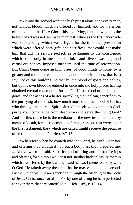"But into the second went the high priest alone once every year, not without blood, which he offered for himself, and for the errors of the people: the Holy Ghost this signifying, that the way into the holiest of all was not yet made manifest, while as the first tabernacle was yet standing: which was a figure for the time then present, in which were offered both gifts and sacrifices, that could not make him that did the service perfect, as pertaining to the conscience; which stood only in meats and drinks, and divers washings and carnal ordinances, imposed on them until the time of reformation. But Christ being come an high priest of good things to come, by a greater and more perfect tabernacle, not made with hands, that is to say, not of this building; neither by the blood of goats and calves, but by his own blood he entered in once into the holy place, having obtained eternal redemption for us. For if the blood of bulls and of goats, and the ashes of a heifer sprinkling the unclean, sanctifieth to the purifying of the flesh; how much more shall the blood of Christ, who through the eternal Spirit offered himself without spot to God, purge your conscience from dead works to serve the living God? And for this cause he is the mediator of the new testament, that by means of death, for the redemption of transgressions that were under the first testament, they which are called might receive the promise of eternal inheritance."—Heb. 9:7-15.

"Wherefore when he cometh into the world, he saith, Sacrifice and offering thou wouldest not, but a body hast thou prepared me: ... Above when he said, Sacrifice and offering and burnt offerings and offering for sin thou wouldest not, neither hadst pleasure therein which are offered by the law; then said he, Lo, I come to do thy will, O God. He taketh away the first, that he may establish the second. By the which will we are sanctified through the offering of the body of Jesus Christ once for all ... For by one offering he hath perfected for ever them that are sanctified."—Heb. 10:5, 8-10, 14.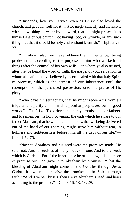"Husbands, love your wives, even as Christ also loved the church, and gave himself for it; that he might sanctify and cleanse it with the washing of water by the word, that he might present it to himself a glorious church, not having spot, or wrinkle, or any such thing: but that it should be holy and without blemish."—Eph. 5:25- 27.

"In whom also we have obtained an inheritance, being predestinated according to the purpose of him who worketh all things after the counsel of his own will: ... in whom ye also trusted, after that ye heard the word of truth, the gospel of your salvation; in whom also after that ye believed ye were sealed with that holy Spirit of promise, which is the earnest of our inheritance until the redemption of the purchased possession, unto the praise of his glory."

"Who gave himself for us, that he might redeem us from all iniquity, and purify unto himself a peculiar people, zealous of good works."—Tit. 2:14. "To perform the mercy promised to our fathers, and to remember his holy covenant; the oath which he sware to our father Abraham, that he would grant unto us, that we being delivered out of the hand of our enemies, might serve him without fear, in holiness and righteousness before him, all the days of our life."— Luke 1:72-75.

"Now to Abraham and his seed were the promises made. He saith not, And to seeds as of many; but as of one, And to thy seed, which is Christ ... For if the inheritance be of the law, it is no more of promise but God gave it to Abraham by promise." "That the blessing of Abraham might come on the Gentiles through Jesus Christ, that we might receive the promise of the Spirit through faith." "And if ye be Christ's, then are ye Abraham's seed, and heirs according to the promise."—Gal. 3:16, 18, 14, 29.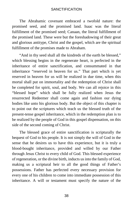The Abrahamic covenant embraced a twofold nature: the promised seed, and the promised land. Isaac was the literal fulfillment of the promised seed; Canaan, the literal fulfillment of the promised land. These were but the foreshadowing of their great and glorious antitype, Christ and the gospel, which are the spiritual fulfillment of the promises made to Abraham.

"And in thy seed shall all the kindreds of the earth be blessed," which blessing begins in the regenerate heart, is perfected in the inheritance of entire sanctification, and consummated in that inheritance "reserved in heaven for us." That part which is yet reserved in heaven for us will be realized in due time, when this mortal shall put on immortality and the redemption of Christ shall be completed for spirit, soul, and body. We can all rejoice in this "blessed hope" which shall be fully realized when Jesus the resurrected Redeemer shall come again and fashion our dying bodies like unto his glorious body. But the object of this chapter is to point out the scriptures which teach us the blessed truth of the present-tense gospel inheritance, which in the redemption plan is to be realized by the people of God in this gospel dispensation, on this side of the second coming of Christ.

The blessed grace of entire sanctification is scripturally the bequest of God to his people. It is not simply the will of God in the sense that he desires us to have this experience, but it is truly a blood-bought inheritance, provided and willed by our Father through Jesus Christ to every child of God. This blessed experience of regeneration, or the divine birth, inducts us into the family of God, making us a scriptural heir to all the good things of Father's possessions. Father has perfected every necessary provision for every one of his children to come into immediate possession of this inheritance. A will or testament must specify the nature of the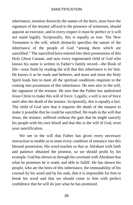inheritance, mention distinctly the names of the heirs, must have the signature of the testator affixed in the presence of witnesses, should appoint an executor, and in every respect it must be perfect or it will not stand legally. Scripturally, this is equally as true. The New Testament is the will, which distinctly specifies the nature of the inheritance of the people of God "among them which are sanctified." The sanctified have entered into their possessions of this Holy Ghost Canaan, and now every regenerated child of God who knows his name is written in Father's family record—the Book of life—soon finds by reading the will that this inheritance is for him. He knows it as he reads and believes, and more and more the Holy Spirit leads him to meet all the spiritual conditions requisite to the coming into possession of this inheritance. He sees also in the will, the signature of the testator. He sees that the Father has authorized Jesus Christ to make this will of force. Legally, a will is not of force until after the death of the testator. Scripturally, this is equally a fact. The child of God sees that it requires the death of the testator to make it possible that he could be sanctified. He reads in the will that Jesus, the testator, suffered without the gate that he might sanctify his people with his own blood and that this is the will of God, even your sanctification.

We see in the will that Father has given every necessary instruction to enable us to meet every condition of entrance into this blessed possession. His word teaches us that as Abraham with faith and patience obtained the promise, so we should profit by his example. God has shown us through his covenant with Abraham that what he promises he is ready and able to fulfill. He has shown his people, who are the heirs of this inheritance, the immutability of his counsel by his word and by his oath, that it is impossible for him to break his word and that we should come to him with perfect confidence that he will do just what he has promised.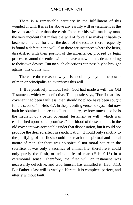There is a remarkable certainty in the fulfillment of this wonderful will. It is as far above any earthly will or testament as the heavens are higher than the earth. In an earthly will made by man, the very incident that makes the will of force also makes it liable to become annulled; for after the death of the testator there frequently is found a defect in the will, also there are instances where the heirs, dissatisfied with their portion of the inheritance, proceed by legal process to annul the entire will and have a new one made according to their own desires. But no such objections can possibly be brought against this divine will.

There are three reasons why it is absolutely beyond the power of man or principality to overthrow this will.

1. It is positively without fault. God had made a will, the Old Testament, which was defective. The apostle says, "For if that first covenant had been faultless, [then](https://www.gutenberg.org/files/26691/26691-h/26691-h.htm#cn4) should no place have been sought for the second."—Heb. 8:7. In the preceding verse he says, "But now hath he obtained a more excellent ministry, by how much also he is the mediator of a better covenant [testament or will], which was established upon better promises." The blood of those animals in the old covenant was acceptable under that dispensation, but it could not produce the desired effect in sanctification. It could only sanctify to the purifying of the flesh; could not reach the spiritual and moral nature of man; for there was no spiritual nor moral nature in the sacrifice. It was only a sacrifice of animal life; therefore it could only purify the flesh, or animal life, of man (Heb. 9:13) in a ceremonial sense. Therefore, the first will or testament was necessarily defective, and God himself has annulled it. Heb. 8:13. But Father's last will is vastly different. It is complete, perfect, and utterly without fault.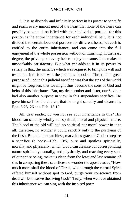2. It is so divinely and infinitely perfect in its power to sanctify and reach every inmost need of the heart that none of the heirs can possibly become dissatisfied with their individual portion; for this portion is the entire inheritance for each individual heir. It is not divided into certain bounded portions for different heirs, but each is entitled to the entire inheritance, and can come into the full enjoyment of the whole possession without diminishing, in the least degree, the privilege of every heir to enjoy the same. This makes it unspeakably satisfactory. But what yet adds to it in its power to satisfy, is that, the sacrifice which was required to bring this will and testament into force was the precious blood of Christ. The great purpose of God in this judicial sacrifice was that the sins of the world might be forgiven, that we might thus become the sons of God and heirs of this inheritance. But, my dear brother and sister, our Saviour had also another purpose in view in this stupendous sacrifice. He gave himself for the church, that he might sanctify and cleanse it. Eph. 5:25, 26 and Heb. 13:12.

Ah, dear reader, do you not see your inheritance in this? His blood can sanctify wholly our spiritual, moral and physical nature. The blood of the old will had no spiritual nor moral power in it at all; therefore, no wonder it could sanctify only to the purifying of the flesh. But, oh, the matchless, marvelous grace of God to prepare a sacrifice (a body—Heb. 10:5) pure and spotless spiritually, morally, and physically, which blood can cleanse our corresponding nature spiritually, morally, and physically, and reaching every spot of our entire being, make us clean from the least and last remains of sin. In comparing these sacrifices no wonder the apostle asks, "How much more shall the blood of Christ, who through the eternal Spirit offered himself without spot to God, purge your conscience from dead works to serve the living God?" Truly, when we have obtained this inheritance we can sing with the inspired poet: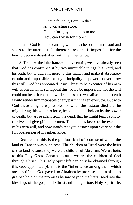"I have found it, Lord, in thee, An everlasting store, Of comfort, joy, and bliss to me How can I wish for more?"

Praise God for the cleansing which reaches our inmost soul and saves to the uttermost! It, therefore, readers, is impossible for the heir to become dissatisfied with the inheritance.

3. To make the inheritance doubly certain, we have already seen that God has confirmed it by two immutable things; his word, and his oath; but to add still more to this matter and make it absolutely certain and impossible for any principality or power to overthrow this will, God has appointed Jesus Christ to be executor of his own will. From a human standpoint this would be impossible; for the will could not be of force at all while the testator was alive, and his death would render him incapable of any part in it as an executor. But with God these things are possible; for when the testator died that he might bring this will into force, he could not be holden by the power of death; but arose again from the dead, that he might lead captivity captive and give gifts unto men. Thus he has become the executor of his own will, and now stands ready to bestow upon every heir the full possession of his inheritance.

Dear reader, this is the glorious land of promise of which the land of Canaan was but a type. The children of Israel were the heirs of that land because they were the children of Abraham. We are heirs to this Holy Ghost Canaan because we are the children of God through Christ. This Holy Spirit life can only be obtained through this God-appointed plan. It is the "inheritance among them which are sanctified." God gave it to Abraham by promise, and as his faith grasped hold on the promises he saw beyond the literal seed into the blessings of the gospel of Christ and this glorious Holy Spirit life.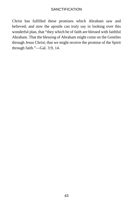Christ has fulfilled these promises which Abraham saw and believed; and now the apostle can truly say in looking over this wonderful plan, that "they which be of faith are blessed with faithful Abraham. That the blessing of Abraham might come on the Gentiles through Jesus Christ; that we might receive the promise of the Spirit through faith."—Gal. 3:9, 14.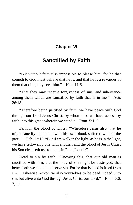## **Chapter VI**

## **Sanctified by Faith**

"But without faith it is impossible to please him: for he that cometh to God must believe that he is, and that he is a rewarder of them that diligently seek him."—Heb. 11:6.

"That they may receive forgiveness of sins, and inheritance among them which are sanctified by faith that is in me."—Acts  $26.18$ 

"Therefore being justified by faith, we have peace with God through our Lord Jesus Christ: by whom also we have access by faith into this grace wherein we stand."—Rom. 5:1, 2.

Faith in the blood of Christ. "Wherefore Jesus also, that he might sanctify the people with his own blood, suffered without the gate."—Heb. 13:12. "But if we walk in the light, as he is in the light, we have fellowship one with another, and the blood of Jesus Christ his Son cleanseth us from all sin."—1 John 1:7.

Dead to sin by faith. "Knowing this, that our old man is crucified with him, that the body of sin might be destroyed, that henceforth we should not serve sin. For he that is dead is freed from sin ... Likewise reckon ye also yourselves to be dead indeed unto sin, but alive unto God through Jesus Christ our Lord."—Rom. 6:6, 7, 11.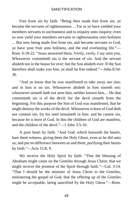Free from sin by faith. "Being then made free from sin, ye became the servants of righteousness ... For as ye have yielded your members servants to uncleanness and to iniquity unto iniquity; even so now yield your members servants to righteousness unto holiness ... But now being made free from sin, and become servants to God, ye have your fruit unto holiness, and the end everlasting life."— Rom. 6:18-22. "Jesus answered them, Verily, verily, I say unto you, Whosoever committeth sin is the servant of sin. And the servant abideth not in the house for ever: but the Son abideth ever. If the Son therefore shall make you free, ye shall be free indeed."—John 8:34- 36.

"And ye know that he was manifested to take away our sins; and in him is no sin. Whosoever abideth in him sinneth not: whosoever sinneth hath not seen him, neither known him.... He that committeth sin is of the devil; for the devil sinneth from the beginning. For this purpose the Son of God was manifested, that he might destroy the works of the devil. Whosoever is born of God doth not commit sin; for his seed remaineth in him: and he cannot sin, because he is born of God. In this the children of God are manifest, and the children of the devil."—1 John 3:5-10.

A pure heart by faith. "And God, which knoweth the hearts, bare them witness, giving them the Holy Ghost, even as he did unto us; and put no difference between us and them, purifying their hearts by faith."—Acts 15:8, 9.

We receive the Holy Spirit by faith. "That the blessing of Abraham might come on the Gentiles through Jesus Christ: that we might receive the promise of the Spirit through faith."—Gal. 3:14. "That I should be the minister of Jesus Christ to the Gentiles, ministering the gospel of God, that the offering up of the Gentiles might be acceptable, being sanctified by the Holy Ghost."—Rom.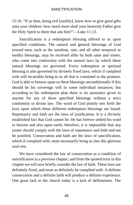15:16. "If ye then, being evil [earthly], know how to give good gifts unto your children: how much more shall your heavenly Father give the Holy Spirit to them that ask him?"—Luke 11:13.

Sanctification is a redemption blessing offered to us upon specified conditions. The natural and general blessings of God toward men, such as the sunshine, rain, and all other temporal or earthly blessings, may be received alike by both saint and sinner, who come into conformity with the natural laws by which these natural blessings are governed. Every redemption or spiritual blessing is also governed by divinely fixed laws, which if complied with will invariably bring to us all that is contained in the promise. God is able to bestow upon us these blessings unconditionally if this should be his sovereign will in some individual instances; but according to his redemption plan there is no assurance given to anyone for any of these specified blessings without a strict conformity to divine law. The word of God plainly sets forth the laws upon which these different redemption blessings are based. Repentance and faith are the laws of justification. It is a divinely established fact that God cannot lie. He has forever settled his word in heaven and also upon earth; therefore, it is impossible that any sinner should comply with the laws of repentance and faith and not be justified. Consecration and faith are the laws of sanctification, which if complied with, must necessarily bring us into this glorious soul-rest.

We have considered the law of consecration as a condition of sanctification in a previous chapter; and from the quoted texts in this chapter we will now briefly consider the law of faith. These laws are definitely fixed, and must as definitely be complied with. A definite consecration and a definite faith will produce a definite experience. One great lack in the church today is a lack of definiteness. The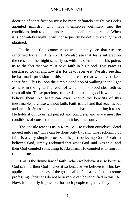doctrine of sanctification must be more definitely taught by God's anointed ministry, who have themselves definitely met the conditions, both to obtain and retain this definite experience. When it is definitely taught it will consequently be definitely sought and obtained.

In the apostle's commission we distinctly see that we are sanctified by faith. Acts 26:18. We also see that Jesus suffered on the cross that he might sanctify us with his own blood. This points us to the fact that we must have faith in his blood. This grace is purchased for us, and now it is for us to receive it. We also see that he has made provision in this same purchase that we may be kept sanctified. This is upon the simple condition of walking in the light as he is in the light. The result of which is: his blood cleanseth us from all sin. These precious truths will do us no good if we do not believe them. No heart can ever receive the benefits of this inestimable purchase without faith. Faith is the hand that reaches out and takes it. Jesus can do no more than he has done to bring it to us. He holds it out to us, all perfect and complete, and as we meet the conditions of consecration and faith it becomes ours.

The apostle teaches us in Rom. 6:11 to reckon ourselves "dead indeed unto sin." This can be done only by faith. The reckoning of faith is a very simple process; it is just believing God. Abraham believed God, simply reckoned that what God said was true, and then God counted something to Abraham. He counted it to him for righteousness.

This is the divine law of faith. When we believe it is so because God says it, then God makes it so because we believe it. This law applies to all the graces of the gospel alike. It is a sad fact that some professing Christians do not believe we can be sanctified in this life. Now, it is utterly impossible for such people to get it. They do not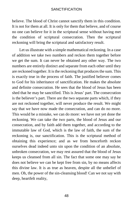believe. The blood of Christ cannot sanctify them in this condition. It is not for them at all. It is only for them that believe, and of course no one can believe for it in the scriptural sense without having met the condition of scriptural consecration. Then the scriptural reckoning will bring the scriptural and satisfactory result.

Let us illustrate with a simple mathematical reckoning. In a case of addition we take two numbers and reckon them together before we get the sum. It can never be obtained any other way. The two numbers are entirely distinct and separate from each other until they are reckoned together. It is the reckoning that produces the sum. This is exactly true in the process of faith. The justified believer comes to God for his inheritance of sanctification. He makes the absolute and definite consecration. He sees that the blood of Jesus has been shed that he may be sanctified. This is Jesus' part. The consecration is the believer's part. There are the two separate parts which, if they are not reckoned together, will never produce the result. We might say that we have now made the consecration, and can do no more. This would be a mistake, we can do more: we have not yet done the reckoning. We can take the two parts, the blood of Jesus and our consecration, and by faith add them together, and according to the immutable law of God, which is the law of faith, the sum of the reckoning is, our sanctification. This is the scriptural method of obtaining this experience; and as we from henceforth reckon ourselves dead indeed unto sin upon the condition of an absolute, unbroken consecration, we may rest assured that the blood of Jesus keeps us cleansed from all sin. The fact that some one may say he does not believe we can be kept free from sin, by no means affects this divine law. It is as true as heaven, despite all the unbelief of men. Oh, the power of the sin-cleansing blood! Can we not say with deep, heartfelt reality,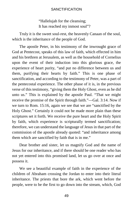"Hallelujah for the cleansing; It has reached my inmost soul"?

Truly it is the sweet soul-rest, the heavenly Canaan of the soul, which is the inheritance of the people of God.

The apostle Peter, in his testimony of the inwrought grace of God at Pentecost, speaks of this law of faith, which effected in him and his brethren at Jerusalem, as well as the household of Cornelius upon the event of their induction into this glorious grace, the experience of heart purity, "and put no difference between us and them, purifying their hearts by faith." This is one phase of sanctification, and according to the testimony of Peter, was a part of the pentecostal experience. The other phase of it is, in the previous verse of this testimony, "giving them the Holy Ghost, even as he did unto us." This is explained by the apostle Paul. "That we might receive the promise of the Spirit through faith."—Gal. 3:14. Now if we turn to Rom. 15:16, again we see that we are "sanctified by the Holy Ghost." Certainly it could not be made more plain than these scriptures set it forth. We receive the pure heart and the Holy Spirit by faith, which experience is scripturally termed sanctification; therefore, we can understand the language of Jesus in that part of the commission of the apostle already quoted: "and inheritance among them which are sanctified by faith that is in me."

Dear brother and sister, let us magnify God and the name of Jesus for our inheritance, and if there should be one reader who has not yet entered into this promised land, let us go over at once and possess it.

We see a beautiful example of faith in the experience of the children of Abraham crossing the Jordan to enter into their literal inheritance. The priests that bore the ark, which went before the people, were to be the first to go down into the stream, which, God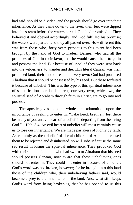had said, should be divided, and the people should go over into their inheritance. As they came down to the river, their feet were dipped into the stream before the waters parted. God had promised it. They believed it and obeyed accordingly, and God fulfilled his promise; the waters were parted, and they all passed over. How different this was from those who, forty years previous to this event had been brought by the hand of God to Kadesh Barnea, who had all the promises of God in their favor, that he would cause them to go in and possess the land. But because of unbelief they were sent back into the wilderness, to wander and die. This literal Canaan was their promised land, their land of rest, their very own; God had promised Abraham that it should be possessed by his seed. But these forfeited it because of unbelief. This was the type of this spiritual inheritance of sanctification, our land of rest, our very own, which we, the spiritual seed of Abraham through faith in Christ, are to go into and possess.

The apostle gives us some wholesome admonition upon the importance of seeking to enter in. "Take heed, brethren, lest there be in any of you an evil heart of unbelief, in departing from the living God."—Heb. 3:4. An evil heart of unbelief will most certainly cause us to lose our inheritance. We are made partakers of it only by faith. As certainly as the unbelief of literal children of Abraham caused them to be rejected and disinherited, so will unbelief cause the same sad result in losing the spiritual inheritance. They provoked God with their unbelief, and he who had sworn to Abraham that his seed should possess Canaan, now sware that these unbelieving ones should not enter in. They could not enter in because of unbelief. God's word was not broken, however; for he brought into this land those of the children who, their unbelieving fathers said, would become a prey to the inhabitants of the land. And, what still keeps God's word from being broken is, that he has opened to us this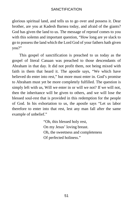glorious spiritual land, and tells us to go over and possess it. Dear brother, are you at Kadesh Barnea today, and afraid of the giants? God has given the land to us. The message of reproof comes to you with this solemn and important question, "How long are ye slack to go to possess the land which the Lord God of your fathers hath given you?"

This gospel of sanctification is preached to us today as the gospel of literal Canaan was preached to those descendants of Abraham in that day. It did not profit them, not being mixed with faith in them that heard it. The apostle says, "We which have believed do enter into rest," but more must enter in. God's promise to Abraham must yet be more completely fulfilled. The question is simply left with us, Will we enter in or will we not? If we will not, then the inheritance will be given to others, and we will lose the blessed soul-rest that is provided in this redemption for the people of God. In his exhortation to us, the apostle says "Let us labor therefore to enter into that rest, lest any man fall after the same example of unbelief."

> "Oh, this blessed holy rest, On my Jesus' loving breast. Oh, the sweetness and completeness Of perfected holiness."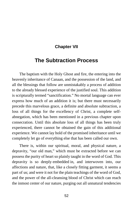### **Chapter VII**

## **The Subtraction Process**

The baptism with the Holy Ghost and fire, the entering into the heavenly inheritance of Canaan, and the possession of the land, and all the blessings that follow are unmistakably a process of addition to the already blessed experience of the justified soul. This addition is scripturally termed "sanctification." No mortal language can ever express how much of an addition it is; but there must necessarily precede this marvelous grace, a definite and absolute subtraction, a loss of all things for the excellency of Christ, a complete selfabnegation, which has been mentioned in a previous chapter upon consecration. Until this absolute loss of all things has been truly experienced, there cannot be obtained the gain of this additional experience. We cannot lay hold of the promised inheritance until we completely let go of everything else that has been called our own.

There is, within our spiritual, moral, and physical nature, a depravity, "our old man," which must be extracted before we can possess the purity of heart so plainly taught in the word of God. This depravity is so deeply [embedded](https://www.gutenberg.org/files/26691/26691-h/26691-h.htm#cn5) in, and interwoven into, our affections and nature, that, like a closely fitting garment, it seems a part of us; and were it not for the plain teachings of the word of God, and the power of the all-cleansing blood of Christ which can reach the inmost center of our nature, purging out all unnatural tendencies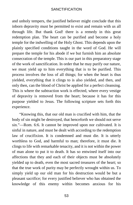and unholy tempers, the justified believer might conclude that this inborn depravity must be permitted to exist and remain with us all through life. But thank God! there is a remedy in this great redemption plan. The heart can be purified and become a holy temple for the indwelling of the Holy Ghost. This depends upon the plainly specified conditions taught in the word of God. He will prepare the temple for his abode if we but furnish him an absolute consecration of the temple. This is our part in this preparatory stage of the work of sanctification. In order that he may purify our nature, we must yield up to him everything that is to be purified. This process involves the loss of all things; for when the heart is thus yielded, everything that it clings to is also yielded, and then, and only then, can the blood of Christ be applied for a perfect cleansing. This is where the subtraction work is effected, where every vestige of depravity is removed from the heart; because it has for this purpose yielded to Jesus. The following scripture sets forth this experience.

"Knowing this, that our old man is crucified with him, that the body of sin might be destroyed, that henceforth we should not serve sin."—Rom. 6:6. It cannot be improved upon nor cultivated. It is sinful in nature, and must be dealt with according to the redemption law of crucifixion. It is condemned and must die. It is utterly worthless to God, and harmful to man; therefore, it must die. It clings to life with remarkable tenacity, and it is not within the power of man alone to put it to death. It has so entwined itself into our affections that they and each of their objects must be absolutely yielded up to death, even the most sacred treasures of the heart; so that the true work of purity may be perfectly wrought within us. To simply yield up our old man for his destruction would be but a pleasant sacrifice; for every justified believer who has obtained the knowledge of this enemy within becomes anxious for his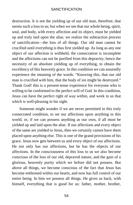destruction. It is not the yielding up of our old man, therefore, that seems such a loss to us; but when we see that our whole being, spirit, soul, and body, with every affection and its object, must be yielded up and truly laid upon the altar, we realize the subtraction process of sanctification—the loss of all things. Our old man cannot be crucified until everything is thus first yielded up. As long as any one object of our affection is withheld, the consecration is incomplete and the affections can not be purified from this depravity; hence the necessity of an absolute yielding up of everything, to obtain the excellency of this heavenly grace. In this condition we can assuredly experience the meaning of the words: "Knowing this, that our old man is crucified with him, that the body of sin might be destroyed." Thank God! this is a present-tense experience for everyone who is willing to be conformed to the perfect will of God. In this condition, Jesus can have the perfect right of way within, and work in us that which is well-pleasing in his sight.

Someone might wonder if we are never permitted in this truly consecrated condition, to set our affections upon anything in this world, or, if we can possess anything as our own, if all must be yielded up and laid upon the altar. If our affections and every object of the same are yielded to Jesus, then we certainly cannot have them placed upon anything else. This is one of the grand provisions of his grace. Jesus now gets between us and every object of our affections. He not only has our affections, but he has the objects of our affections. In the consciousness of this loss to us we also become conscious of the loss of our old, depraved nature, and the gain of a glorious, heavenly purity which we before did not possess. But above all things, we become conscious of the fact that Jesus has become enthroned within our hearts, and now has full control of our entire being. In him we possess all things. He gives us back, with himself, everything that is good for us: father, mother, brother,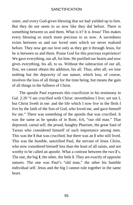sister, and every God-given blessing that we had yielded up to him. But they do not seem to us now like they did before. There is something between us and them. What is it? It is Jesus! This makes every blessing so much more precious to us now. A sacredness exists between us and our loved ones which we never realized before. They now get our love only as they get it through Jesus, for he is between us and them. Praise God for this precious experience! We gave everything, our all, for him. He purified our hearts and now gives everything, his all, to us. Without the subtraction of our all, first, we cannot obtain the addition, his all. Thus, after all, we lose nothing but the depravity of our nature, which loss, of course, involves the loss of all things for the time being, but means the gain of all things in the fullness of Christ.

The apostle Paul expresses this crucifixion in his testimony in Gal. 2:20 "I am crucified with Christ: nevertheless I live; yet not I, but Christ liveth in me: and the life which I now live in the flesh I live by the faith of the Son of God, who loved me, and gave himself for me." There was something of the apostle that was crucified. It was the same as he speaks of in Rom. 6:6, "our old man." That depraved, carnal self, the proud, haughty Pharisee, the great Saul of Tarsus who considered himself of such importance among men. This was the **I** that was crucified; but there was an **I** who still lived. This was the humble, sanctified Paul, the servant of Jesus Christ, who now considered himself less than the least of all saints, and not worthy to be called an apostle. What a contrast between the two **I**'s. The one, the big **I**; the other, the little **I**. They are exactly of opposite natures. The one was Paul's "old man," the other his humble individual self. Jesus and the big I cannot rule together in the same heart.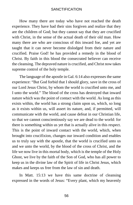How many there are today who have not reached the death experience. They have had their sins forgiven and realize that they are the children of God; but they cannot say that they are crucified with Christ, in the sense of the actual death of their old man. How many there are who are conscious of this inward foe, and yet are taught that it can never become dislodged from their nature and crucified. Praise God! he has provided a remedy in the blood of Christ. By faith in this blood the consecrated believer can receive the cleansing. The depraved nature is crucified, and Christ now takes supreme control of the holy temple.

The language of the apostle in Gal. 6:14 also expresses the same experience: "But God forbid that I should glory, save in the cross of our Lord Jesus Christ, by whom the world is crucified unto me, and I unto the world." The blood of the cross has destroyed that inward nature which was the point of contact with the world. As long as this exists within, the world has a strong claim upon us, which, so long as it exists within us, will assert its nature, and, if permitted, will communicate with the world, and cause defeat in our Christian life, so that we cannot conscientiously say we are dead to the world: for there is something within us yet that is actually alive in this respect. This is the point of inward contact with the world, which, when brought into crucifixion, changes our inward condition and enables us to truly say with the apostle, that the world is crucified unto us and we unto the world, by the blood of the cross of Christ, and the life we now live in this mortal body, which is the temple of the Holy Ghost, we live by the faith of the Son of God, who has all power to keep us in the divine law of the Spirit of life in Christ Jesus, which makes and keeps us free from the law of sin and death.

In Matt. 15:13 we have this same doctrine of cleansing expressed in the words of Jesus: "Every plant, which my heavenly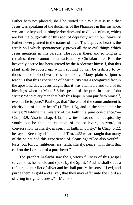Father hath not planted, shall be rooted up." While it is true that Jesus was speaking of the doctrines of the Pharisees in this instance, we can see beyond the simple doctrines and traditions of men, which are but the outgrowth of this root of depravity which our heavenly Father never planted in the nature of man. The depraved heart is the fertile soil which spontaneously grows all these evil things which Jesus mentions in this parable. The root is there, and so long as it remains, there cannot be a satisfactory Christian life. But the heavenly decree has been uttered by the Redeemer himself, that this plant shall be rooted up, which rooting up can be testified to by thousands of blood-washed saints today. Many plain scriptures teach us that this experience of heart purity was a recognized fact in the apostolic days. Jesus taught that it was attainable and told of its blessings when in Matt. 5:8 he speaks of the pure in heart. John writes: "And every man that hath this hope in him purifieth himself, even as he is pure." Paul says that "the end of the commandment is charity out of a pure heart" (1 Tim. 1:5), and in the same letter he writes: "Holding the mystery of the faith in a pure conscience."— Chap. 3:9. Also in Chap. 4:12, he writes: "Let no man despise thy youth: but be thou an example of the believers, in word, in conversation, in charity, in spirit, in faith, in purity." In Chap. 5:22, he says, "Keep thyself pure." In 2 Tim. 2:22 we are taught that many of the saints had this experience of cleansing: "Flee also youthful lusts; but follow righteousness, faith, charity, peace, with them that call on the Lord out of a pure heart."

The prophet Malachi saw the glorious fullness of this gospel salvation as he beheld and spake by the Spirit: "And he shall sit as a refiner and purifier of silver and he shall purify the sons of Levi, and purge them as gold and silver, that they may offer unto the Lord an offering in righteousness."—Mal. 3:3.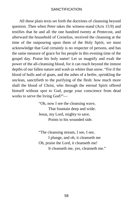All these plain texts set forth the doctrines of cleansing beyond question. Then when Peter takes the witness-stand (Acts 15:9) and testifies that he and all the one hundred twenty at Pentecost, and afterward the household of Cornelius, received the cleansing at the time of the outpouring upon them of the Holy Spirit, we must acknowledge that God certainly is no respecter of persons, and has the same measure of grace for his people in this evening time of the gospel day. Praise his holy name! Let us magnify and exalt the power of the all-cleansing blood, for it can reach beyond the inmost depths of our fallen nature and wash us whiter than snow. "For if the blood of bulls and of goats, and the ashes of a heifer, sprinkling the unclean, sanctifieth to the purifying of the flesh: how much more shall the blood of Christ, who through the eternal Spirit offered himself without spot to God, purge your conscience from dead works to serve the living God?"—

> "Oh, now I see the cleansing wave, That fountain deep and wide; Jesus, my Lord, mighty to save, Points to his wounded side.

"The cleansing stream, I see, I see, I plunge, and oh, it cleanseth me Oh, praise the Lord, it cleanseth me! It cleanseth me, yes, cleanseth me."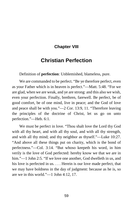### **Chapter VIII**

## **Christian Perfection**

Definition of **perfection**: Unblemished, blameless, pure.

We are commanded to be perfect. "Be ye therefore perfect, even as your Father which is in heaven is perfect."—Matt. 5:48. "For we are glad, when we are weak, and ye are strong: and this also we wish, even your perfection. Finally, brethren, farewell. Be perfect, be of good comfort, be of one mind, live in peace; and the God of love and peace shall be with you."—2 Cor. 13:9, 11. "Therefore leaving the principles of the doctrine of Christ, let us go on unto perfection."—Heb. 6:1.

We must be perfect in love. "Thou shalt love the Lord thy God with all thy heart, and with all thy soul, and with all thy strength, and with all thy mind; and thy neighbor as thyself."—Luke 10:27. "And above all these things put on charity, which is the bond of perfectness."—Col. 3:14. "But whoso keepeth his word, in him verily is the love of God perfected: hereby know we that we are in him."—1 John 2:5. "If we love one another, God dwelleth in us, and his love is perfected in us. . . . Herein is our love made perfect, that we may have boldness in the day of judgment: because as he is, so are we in this world."—1 John 4:12, 17.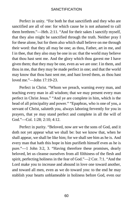Perfect in unity. "For both he that sanctifieth and they who are sanctified are all of one: for which cause he is not ashamed to call them brethren."—Heb. 2:11. "And for their sakes I sanctify myself, that they also might be sanctified through the truth. Neither pray I for these alone, but for them also which shall believe on me through their word: that they all may be one; as thou, Father, art in me, and I in thee, that they also may be one in us: that the world may believe that thou hast sent me. And the glory which thou gavest me I have given them; that they may be one, even as we are one: I in them, and thou in me, that they may be made perfect in one; and that the world may know that thou hast sent me, and hast loved them, as thou hast loved me."—John 17:19-23.

Perfect in Christ. "Whom we preach, warning every man, and teaching every man in all wisdom; that we may present every man perfect in Christ Jesus." "And ye are complete in him, which is the head of all principality and power." "Epaphras, who is one of you, a servant of Christ, saluteth you, always laboring fervently for you in prayers, that ye may stand perfect and complete in all the will of God."—Col. 1:28; 2:10; 4:12.

Perfect in purity. "Beloved, now are we the sons of God, and it doth not yet appear what we shall be: but we know that, when he shall appear, we shall be like him; for we shall see him as he is. And every man that hath this hope in him purifieth himself even as he is pure."—1 John 3:2, 3. "Having therefore these promises, dearly beloved, let us cleanse ourselves from all filthiness of the flesh and spirit, perfecting holiness in the fear of God."—2 Cor. 7:1. "And the Lord make you to increase and abound in love one toward another, and toward all men, even as we do toward you: to the end he may stablish your hearts unblameable in holiness before God, even our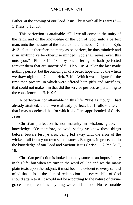Father, at the coming of our Lord Jesus Christ with all his saints."— 1 Thess. 3:12, 13.

This perfection is attainable. "Till we all come in the unity of the faith, and of the knowledge of the Son of God, unto a perfect man, unto the measure of the stature of the fulness of Christ."—Eph. 4:13. "Let us therefore, as many as be perfect, be thus minded: and if in anything ye be otherwise minded, God shall reveal even this unto you."—Phil. 3:15. "For by one offering he hath perfected forever them that are sanctified."—Heb. 10:14. "For the law made nothing perfect, but the bringing in of a better hope did; by the which we draw nigh unto God."—Heb. 7:19. "Which was a figure for the time then present, in which were offered both gifts and sacrifices, that could not make him that did the service perfect, as pertaining to the conscience."—Heb. 9:9.

A perfection not attainable in this life. "Not as though I had already attained, either were already perfect: but I follow after, if that I may apprehend that for which also I am apprehended of Christ Jesus."

Christian perfection is not maturity in wisdom, grace, or knowledge. "Ye therefore, beloved, seeing ye know these things before, beware lest ye also, being led away with the error of the wicked, fall from your own steadfastness. But grow in grace, and in the knowledge of our Lord and Saviour Jesus Christ."—2 Pet. 3:17, 18.

Christian perfection is looked upon by some as an impossibility in this life; but when we turn to the word of God and see the many plain texts upon the subject, it must become evident to every candid mind that it is in the plan of redemption that every child of God should attain to it. It would not be according to the nature of divine grace to require of us anything we could not do. No reasonable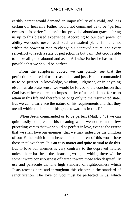earthly parent would demand an impossibility of a child, and it is certain our heavenly Father would not command us to be "perfect even as he is perfect" unless he has provided abundant grace to bring us up to this blessed experience. According to our own power or ability we could never reach such an exalted plane, for it is not within the power of man to change his depraved nature, and every self-effort to reach a state of perfection is but vain. But God is able to make all grace abound and as an All-wise Father he has made it possible that we should be perfect.

From the scriptures quoted we can plainly see that the perfection required of us is reasonable and just. Had he commanded us to be perfect in knowledge, wisdom, judgment, or in anything else in an absolute sense, we would be forced to the conclusion that God has either required an impossibility of us or it is not for us to attain in this life and therefore belongs only to the resurrected state. But we can clearly see the nature of his requirements and that they are all within the limits of his grace toward us in this life.

When Jesus commanded us to be perfect (Matt. 5:48) we can quite easily comprehend his meaning when we notice in the few preceding verses that we should be perfect in love, even to the extent that we shall love our enemies, that we may indeed be the children of our Father which is in heaven. The children of this world love those that love them. It is an easy matter and quite natural to do this. But to love our enemies is very contrary to the depraved nature; unless there has been the cleansing wrought within, there will be some inward consciousness of hatred toward those who despitefully use and persecute us. The high standard of righteousness which Jesus teaches here and throughout this chapter is the standard of sanctification. The love of God must be perfected in us, which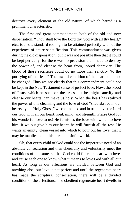destroys every element of the old nature, of which hatred is a prominent characteristic.

The first and great commandment, both of the old and new dispensation, "Thou shalt love the Lord thy God with all thy heart," etc., is also a standard too high to be attained perfectly without the experience of entire sanctification. This commandment was given during the old dispensation; but it was not possible then that it could be kept perfectly, for there was no provision then made to destroy the power of, and cleanse the heart from, inbred depravity. The blood of those sacrifices could do no more than sanctify "to the purifying of the flesh." The inward condition of the heart could not be changed. Thus we see clearly that this commandment could not be kept in the New Testament sense of perfect love. Now, the blood of Jesus, which he shed on the cross that he might sanctify and cleanse our hearts, can make us holy. When the heart has realized the power of this cleansing and the love of God "shed abroad in our hearts by the Holy Ghost," we can in deed and in truth love the Lord our God with all our heart, soul, mind, and strength. Praise God for his wonderful love to us! He furnishes the love with which to love him. If we but give him our hearts he will furnish all the rest. He wants an empty, clean vessel into which to pour out his love, that it may be manifested in this dark and sinful world.

Oh, that every child of God could see the imperative need of an absolute consecration and then cheerfully and voluntarily meet the conditions of the same, so that God could fill each heart with love, and cause each one to know what it means to love God with all our heart. As long as our affections are divided between God and anything else, our love is not perfect and until the regenerate heart has made the scriptural consecration, there will be a divided condition of the affections. The obedient regenerate heart dwells in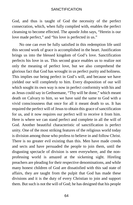God, and thus is taught of God the necessity of the perfect consecration, which, when fully complied with, enables the perfect cleansing to become effected. The apostle John says, "Herein is our love made perfect," and "his love is perfected in us."

No one can ever be fully satisfied in this redemption life until this second work of grace is accomplished in the heart. Justification brings us into the blessed kingdom of God's love. Sanctification perfects his love in us. This second grace enables us to realize not only the meaning of perfect love, but we also comprehend the glorious fact that God has wrought in us perfect purity and holiness. This implies our being perfect in God's will, and because we have yielded our will completely to him. Every disposition of our will which sought its own way is now in perfect conformity with his and as Jesus could say in Gethsemane, "Thy will be done," which meant death on Calvary to him, so we have said the same to God with a vivid consciousness that once for all it meant death to us. It has required the perfect will of Jesus to obtain this grace of sanctification for us, and it now requires our perfect will to receive it from him. Here is where we can stand perfect and complete in all the will of God. Another beautiful characteristic of sanctification is perfect unity. One of the most striking features of the religious world today is division among those who profess to believe in and follow Christ. There is no greater evil existing than this. Men have made creeds and sects and have persuaded the people to join them, until the disgusting spectacle of division is seen everywhere, and the nonprofessing world is amazed at the sickening sight. Hireling preachers are pleading for their respective denominations, and while many honest children of God are dissatisfied with this sad state of affairs, they are taught from the pulpit that God has made these divisions and it is the duty of every Christian to join and support them. But such is not the will of God; he has designed that his people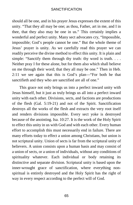should all be one, and in his prayer Jesus expresses the extent of this unity. "That they all may be one; as thou, Father, art in me, and I in thee, that they also may be one in us." This certainly implies a wonderful and perfect unity. Many sect advocates cry, "Impossible, impossible; God's people cannot be one." But the whole theme of Jesus' prayer is unity. As we carefully read this prayer we can readily perceive the divine method to effect this unity. It is plain and simple: "Sanctify them through thy truth: thy word is truth. . . . Neither pray I for these alone, but for them also which shall believe on me through their word; that they all may be one." Then in Heb. 2:11 we see again that this is God's plan—"For both he that sanctifieth and they who are sanctified are all of one."

This grace not only brings us into a perfect inward unity with Jesus himself, but it just as truly brings us all into a perfect inward unity with each other. Divisions, sects, and factions are productions of the flesh (Gal. 5:19-21) and not of the Spirit. Sanctification destroys all the works of the flesh and extracts the very root itself and renders divisions impossible. Every sect yoke is destroyed because of the anointing. Isa. 10:27. It is the work of the Holy Spirit to effect this unity in us with God and with each other. Every human effort to accomplish this must necessarily end in failure. There are many efforts today to effect a union among Christians, but union is not scriptural unity. Union of sects is far from the scriptural unity of believers. A union consists upon a human basis and may consist of a union of sects, or a union of individuals, without any conditions of spirituality whatever. Each individual or body retaining its distinctive and separate division. Scriptural unity is based upon the inner-wrought grace of sanctification, where everything nonspiritual is entirely destroyed and the Holy Spirit has the right of way in every respect according to the perfect will of God.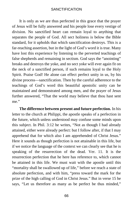It is only as we are thus perfected in this grace that the prayer of Jesus will be fully answered and his people lose every vestige of division. No sanctified heart can remain loyal to anything that separates the people of God. All sect holiness is below the Bible standard, for it upholds that which sanctification destroys. This is a far-reaching assertion, but in the light of God's word it is true. Many have lost this experience by listening to the perverted teachings of false shepherds and remaining in sectism. God says the "anointing" breaks and destroys the yoke, and no sect yoke will ever again fit on the neck of a sanctified person, if such remains loyal to the Holy Spirit. Praise God! He alone can effect perfect unity in us, by his divine process—sanctification. Then by the careful adherence to the teachings of God's word this beautiful apostolic unity can be maintained and demonstrated among men, and the prayer of Jesus further answered, "That the world may believe that thou hast sent me."

**The difference between present and future perfection.** In his letter to the church at Philippi, the apostle speaks of a perfection in the future, which unless understood may confuse some minds upon this subject. In Phil. 3:12 he writes, "Not as though I had already attained, either were already perfect: but I follow after, if that I may apprehend that for which also I am apprehended of Christ Jesus." Here it sounds as though perfection is not attainable in this life, but if we notice the language of the context we can clearly see that he is speaking of the resurrection of the dead. Ver. 11. It is the resurrection perfection that he here has reference to, which cannot be attained in this life. We must wait with the apostle until this "mortality shall be swallowed up of life," before we reach a state of absolute perfection, and with him, "press toward the mark for the prize of the high calling of God in Christ Jesus." But in verse 15 he says, "Let us therefore as many as be perfect be thus minded,"

66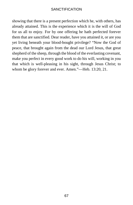showing that there is a present perfection which he, with others, has already attained. This is the experience which it is the will of God for us all to enjoy. For by one offering he hath perfected forever them that are sanctified. Dear reader, have you attained it, or are you yet living beneath your blood-bought privilege? "Now the God of peace, that brought again from the dead our Lord Jesus, that great shepherd of the sheep, through the blood of the everlasting covenant, make you perfect in every good work to do his will, working in you that which is well-pleasing in his sight, through Jesus Christ; to whom be glory forever and ever. Amen."—Heb. 13:20, 21.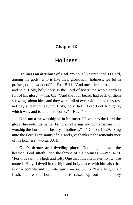### **Chapter IX**

# **Holiness**

**Holiness an attribute of God.** "Who is like unto thee, O Lord, among the gods? who is like thee, glorious in holiness, fearful in praises, doing wonders?"—Ex. 15:11. "And one cried unto another, and said, Holy, holy, holy, is the Lord of hosts: the whole earth is full of his glory."—Isa. 6:3. "And the four beasts had each of them six wings about him; and they were full of eyes within: and they rest not day and night, saying, Holy, holy, holy, Lord God Almighty, which was, and is, and is to come."—Rev. 4:8.

**God must be worshiped in holiness.** "Give unto the Lord the glory due unto his name: bring an offering and come before him: worship the Lord in the beauty of holiness."—1 Chron. 16:29. "Sing unto the Lord, O ye saints of his, and give thanks at the remembrance of his holiness."—Psa. 30:4.

**God's throne and dwelling-place.** "God reigneth over the heathen: God sitteth upon the throne of his holiness."—Psa. 47:8. "For thus saith the high and lofty One that inhabiteth eternity, whose name is Holy; I dwell in the high and holy place, with him also that is of a contrite and humble spirit."—Isa. 57:15. "Be silent, O all flesh, before the Lord: for he is raised up out of his holy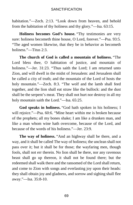habitation."—Zech. 2:13. "Look down from heaven, and behold from the habitation of thy holiness and thy glory."—Isa. 63:15.

**Holiness becomes God's house.** "Thy testimonies are very sure: holiness becometh thine house, O Lord, forever."—Psa. 93:5. "The aged women likewise, that they be in behavior as becometh holiness."—Titus 2:3.

**The church of God is called a mountain of holiness.** "The Lord bless thee, O habitation of justice, and mountain of holiness."—Jer. 31:23. "Thus saith the Lord; I am returned unto Zion, and will dwell in the midst of Jerusalem: and Jerusalem shall be called a city of truth; and the mountain of the Lord of hosts the holy mountain."—Zech. 8:3. "The wolf and the lamb shall feed together, and the lion shall eat straw like the bullock: and the dust shall be the serpent's meat. They shall not hurt nor destroy in all my holy mountain saith the Lord."—Isa. 65:25.

**God speaks in holiness.** "God hath spoken in his holiness; I will rejoice."—Psa. 60:6. "Mine heart within me is broken because of the prophets; all my bones shake; I am like a drunken man, and like a man whom wine hath overcome, because of the Lord, and because of the words of his holiness."—Jer. 23:9.

**The way of holiness.** "And an highway shall be there, and a way, and it shall be called The way of holiness; the unclean shall not pass over it; but it shall be for those; the wayfaring men, though fools, shall not err therein. No lion shall be there, nor any ravenous beast shall go up thereon, it shall not be found there; but the redeemed shall walk there and the ransomed of the Lord shall return, and come to Zion with songs and everlasting joy upon their heads: they shall obtain joy and gladness, and sorrow and sighing shall flee away."—Isa. 35:8-10.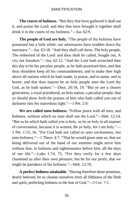**The courts of holiness.** "But they that have gathered it shall eat it, and praise the Lord; and they that have brought it together shall drink it in the courts of my holiness."—Isa. 62:9.

**The people of God are holy.** "The people of thy holiness have possessed but a little while: our adversaries have trodden down thy sanctuary."—Isa. 63:18. "And they shall call them, The holy people, The redeemed of the Lord: and thou shalt be called, Sought out, A city not forsaken."—Isa. 62:12. "And the Lord hath avouched thee this day to be his peculiar people, as he hath promised thee, and that thou shouldest keep all his commandments; and to make thee high above all nations which he hath made, in praise, and in name, and in honor; and that thou mayest be an holy people unto the Lord thy God, as he hath spoken."—Deut. 26:18, 19. "But ye are a chosen generation, a royal priesthood, an holy nation, a peculiar people; that ye should show forth the praises of him who hath called you out of darkness into his marvelous light."—1 Pet. 2:9.

**We are called unto holiness.** "Follow peace with all men, and holiness, without which no man shall see the Lord."—Heb. 12:14. "But as he which hath called you is holy, so be ye holy in all manner of conversation; because it is written, Be ye holy, for I am holy."— 1 Pet. 1:15, 16. "For God hath not called us unto uncleanness, but unto holiness."—1 Thess. 4:7. "That he would grant unto us, that we being delivered out of the hand of our enemies might serve him without fear, in holiness and righteousness before him, all the days of our life."—Luke 1:74, 75. "For they verily for a few days chastened us after their own pleasure; but he for our profit, that we might be partakers of his holiness."—Heb. 12:10.

**A perfect holiness attainable.** "Having therefore these promises, dearly beloved, let us cleanse ourselves from all filthiness of the flesh and spirit, perfecting holiness in the fear of God."—2 Cor. 7:1.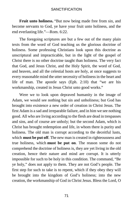**Fruit unto holiness.** "But now being made free from sin, and become servants to God, ye have your fruit unto holiness, and the end everlasting life."—Rom. 6:22.

The foregoing scriptures are but a few out of the many plain texts from the word of God teaching us the glorious doctrine of holiness. Some professing Christians look upon this doctrine as unscriptural and impracticable, but in the light of the gospel of Christ there is no other doctrine taught than holiness. The very fact that God, and Jesus Christ, and the Holy Spirit, the word of God, and heaven, and all the celestial hosts are holy, at once suggests to every reasonable mind the utter necessity of holiness in the heart and life of man. The apostle says (Eph. 2:10) that "we are his workmanship, created in Jesus Christ unto good works."

Were we to look upon depraved humanity in the image of Adam, we would see nothing but sin and unholiness; but God has brought into existence a new order of creation in Christ Jesus. The first Adam is a sad and irreparable failure, and in him we see nothing good. All who are living according to the flesh are dead in trespasses and sins, and of course are unholy; but the second Adam, which is Christ has brought redemption and life, in whom there is purity and holiness. The old man is corrupt according to the deceitful lusts, which **must be put off**. The new man is created in righteousness and true holiness, which **must be put on**. The reason some do not comprehend the doctrine of holiness is, they are yet living in the old creation, hence their nature and mind are corrupt. It is utterly impossible for such to be holy in this condition. The command, "Be ye holy," does not apply to them. They are not God's people. The first step for such to take is to repent, which if they obey they will be brought into the kingdom of God's holiness; into the new creation, the workmanship of God in Christ Jesus. Bless the Lord, O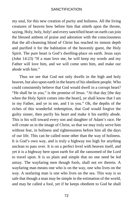my soul, for this new creation of purity and holiness. All the living creatures of heaven bow before him that sitteth upon the throne, saying, Holy, holy, holy! and every sanctified heart on earth can join the blessed anthem of praise and adoration with the consciousness that the all-cleansing blood of Christ has reached its inmost depth and purified it for the habitation of the heavenly guest, the Holy Spirit. The pure heart is God's dwelling-place on earth. Jesus says (John 14:23) "If a man love me, he will keep my words and my Father will love him, and we will come unto him, and make our abode with him."

Thus we see that God not only dwells in the high and holy heaven, but also upon earth in the hearts of his obedient people. Who could consistently believe that God would dwell in a corrupt heart? "He shall be in you," is the promise of Jesus. "At that day [the day when the Holy Spirit comes into the heart], ye shall know that I am in my Father, and ye in me, and I in you." Oh, the depths of the riches of this wonderful redemption, that God would forgive the guilty sinner, then purify his heart and make it his earthly abode. This is his will toward every son and daughter of Adam's race. He will create us in the image of Christ, so that we may truly serve him without fear, in holiness and righteousness before him all the days of our life. This can be called none other than the way of holiness. It is God's own way, and is truly a highway too high for anything unclean to pass over. It is on a perfect level with heaven itself, and yet it is a highway here upon earth for all the ransomed of the Lord to travel upon. It is so plain and simple that no one need be led astray. The wayfaring men though fools, shall not err therein. A wayfaring man means one who is on the way, one who lives on the way. A seafaring man is one who lives on the sea. This way is so safe that though a man may be simple in the estimation of the world, and may be called a fool, yet if he keeps obedient to God he shall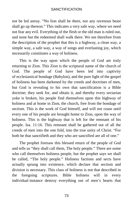not be led astray. "No lion shall be there, nor any ravenous beast shall go up thereon." This indicates a very safe way, where we need not fear any evil. Everything of the flesh or the old man is ruled out, and none but the redeemed shall walk there. We see therefore from the description of the prophet that this is a highway, a clean way, a simple way, a safe way, a way of songs and everlasting joy, which necessarily constitutes a way of holiness.

This is the way upon which the people of God are truly returning to Zion. This Zion is the scriptural name of the church of God. The people of God have been led into captivity of [ecclesiastical](https://www.gutenberg.org/files/26691/26691-h/26691-h.htm#cn6) bondage (Babylon), and the pure light of the gospel of holiness has been darkened by the creeds and doctrines of men, but God is revealing to his own that sanctification is a Bible doctrine; they seek for, and obtain it, and thereby every sectarian yoke is broken, his people find themselves upon this highway of holiness and at home in Zion, the church, free from the bondage of sectism. This is the work of God himself, and will not cease until every one of his people are brought home to Zion, upon the way of holiness. This is the highway that is left for the remnant of his people. Isa. 11:16. This remnant shall be gathered out of all the creeds of men into the one fold, into the true unity of Christ. "For both he that sanctifieth and they who are sanctified are all of one."

The prophet foresaw this blessed return of the people of God and tells us "they shall call them, The holy people." There are some who call themselves holiness people, but the prophet says we shall be called, "The holy people." Holiness factions and sects have actually sprung into existence, which declare that sectism and division is necessary. This class of holiness is not that described in the foregoing scriptures. Bible holiness will in every [individual](https://www.gutenberg.org/files/26691/26691-h/26691-h.htm#cn7) instance destroy everything out of men's hearts that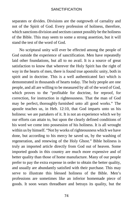separates or divides. Divisions are the outgrowth of carnality and not of the Spirit of God. Every profession of holiness, therefore, which sanctions division and sectism cannot possibly be the holiness of the Bible. This may seem to some a strong assertion, but it will stand the test of the word of God.

No scriptural unity will ever be effected among the people of God outside the experience of sanctification. Men have repeatedly laid other foundations, but all to no avail. It is a source of great satisfaction to know that wherever the Holy Spirit has the right of way in the hearts of men, there is found true apostolic unity, both in spirit and in doctrine. This is a well authenticated fact which is demonstrated in thousands of hearts today. The holy people are one people, and all are willing to be measured by all of the word of God, which proves to the "profitable for doctrine, for reproof, for correction, for instruction in righteousness. That the man of God may be perfect, [thoroughly](https://www.gutenberg.org/files/26691/26691-h/26691-h.htm#cn8) furnished unto all good works." The apostle teaches us, in Heb. 12:10, that God imparts unto us his holiness: we are partakers of it. It is not an experience which we by our efforts can attain to, but upon the clearly defined conditions of his word we come into possession of his holiness. It is all wrought within us by himself. "Not by works of righteousness which we have done, but according to his mercy he saved us, by the washing of regeneration, and renewing of the Holy Ghost." Bible holiness is truly an imported article directly from God out of heaven. Some imported goods in this country are much more expensive and of better quality than those of home manufacture. Many of our people prefer to pay the extra expense in order to obtain the better quality, and usually are abundantly satisfied with their purchase. This may serve to illustrate this blessed holiness of the Bible. Men's professions are sometimes like an inferior homemade piece of goods. It soon wears threadbare and betrays its quality, but the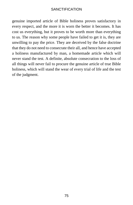genuine imported article of Bible holiness proves satisfactory in every respect, and the more it is worn the better it becomes. It has cost us everything, but it proves to be worth more than everything to us. The reason why some people have failed to get it is, they are unwilling to pay the price. They are deceived by the false doctrine that they do not need to consecrate their all, and hence have accepted a holiness manufactured by man, a homemade article which will never stand the test. A definite, absolute consecration to the loss of all things will never fail to procure the genuine article of true Bible holiness, which will stand the wear of every trial of life and the test of the judgment.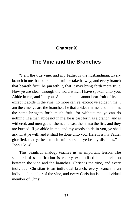## **Chapter X**

# **The Vine and the Branches**

"I am the true vine, and my Father is the husbandman. Every branch in me that beareth not fruit he taketh away; and every branch that beareth fruit, he purgeth it, that it may bring forth more fruit. Now ye are clean through the word which I have spoken unto you. Abide in me, and I in you. As the branch cannot bear fruit of itself, except it abide in the vine; no more can ye, except ye abide in me. I am the vine, ye are the branches: he that abideth in me, and I in him, the same bringeth forth much fruit: for without me ye can do nothing. If a man abide not in me, he is cast forth as a branch, and is withered; and men gather them, and cast them into the fire, and they are burned. If ye abide in me, and my words abide in you, ye shall ask what ye will, and it shall be done unto you. Herein is my Father glorified, that ye bear much fruit; so shall ye be my disciples."— John 15:1-8.

This beautiful analogy teaches us an important lesson. The standard of sanctification is clearly exemplified in the relation between the vine and the branches. Christ is the vine, and every individual Christian is an individual branch; every branch is an individual member of the vine, and every Christian is an individual member of Christ.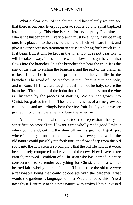What a clear view of the church, and how plainly we can see that there is but one. Every regenerate soul is by one Spirit baptized into this one body. This vine is cared for and kept by God himself, who is the husbandman. Every branch must be a living, fruit-bearing one. It is placed into the vine by the hand which will care for it, and give it every necessary treatment to cause it to bring forth much fruit. If it bears fruit it will be kept in the vine; if it does not bear fruit it will be taken away. The same life which flows through the vine also flows into the branches. It is the branches that bear the fruit. It is the part of the vine to sustain the branches, and the part of the branches to bear fruit. The fruit is the production of the vine-life in the branches. The word of God teaches us that Christ is pure and holy, and in Rom. 11:16 we are taught that if the root be holy, so are the branches. The manner of the induction of the branches into the vine is illustrated by the process of grafting. We are not grown into Christ, but grafted into him. The natural branches of a vine grow out of the vine, and accordingly bear the vine-fruit, but by grace we are grafted into Christ, the vine, and bear the vine-fruit.

A certain writer who advocates the repression theory of sanctification says: "But if I want a tree wholly made good I take it when young and, cutting the stem off on the ground, I graft just where it emerges from the soil; I watch over every bud which the old nature could possibly put forth until the flow of sap from the old roots into the new stem is so complete that the old life has, as it were, been entirely conquered and covered of the new. Now I have a tree entirely renewed—emblem of a Christian who has learned in entire consecration to surrender everything for Christ, and in a wholehearted faith wholly to abide in him. If in this case the old tree were a reasonable being that could co-operate with the gardener, what would the gardener's language be to it? Would it not be this: 'Yield now thyself entirely to this new nature with which I have invested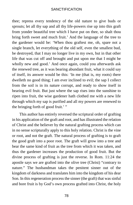thee; repress every tendency of the old nature to give buds or sprouts; let all thy sap and all thy life-powers rise up into this graft from yonder beautiful tree which I have put on thee, so shalt thou bring forth sweet and much fruit.' And the language of the tree to the gardener would be: 'When thou graftest me, oh, spare not a single branch, let everything of the old self, even the smallest bud, be destroyed, that I may no longer live in my own, but in that other life that was cut off and brought and put upon me that I might be wholly new and good.' And once again, could you afterwards ask the renewed tree, as it was bearing abundant fruit, what it could say of itself, its answer would be this: 'In me (that is, my roots) there dwelleth no good thing; I am ever inclined to evil; the sap I collect from the soil is in its nature corrupt, and ready to show itself in bearing evil fruit. But just where the sap rises into the sunshine to ripen into fruit, the wise gardener hath clothed me with a new life through which my sap is purified and all my powers are renewed to the bringing forth of good fruit.' "

This author has entirely reversed the scriptural order of grafting in his application of the graft and root, and has illustrated the relation of Christ and the believer by the natural grafting process which can in no sense scripturally apply to this holy relation. Christ is the vine or root, and not the graft. The natural process of grafting is to graft the good graft into a poor root. The graft will grow into a tree and bear the same kind of fruit as the tree from which it was taken, and thus the gardener increases the production of good fruit. But the divine process of grafting is just the reverse. In Rom. 11:24 the apostle says we are grafted into the olive tree (Christ) "contrary to nature." The husbandman takes the penitent sinner out of the kingdom of darkness and translates him into the kingdom of his dear Son. In this regeneration process the sinner (the graft) that was sinful and bore fruit is by God's own process grafted into Christ, the holy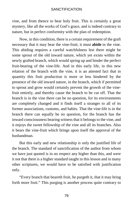vine, and from thence to bear holy fruit. This is certainly a great mystery, like all the works of God's grace, and is indeed contrary to nature, but in perfect conformity with the plan of redemption.

Now, in this condition, there is a certain requirement of the graft necessary that it may bear the vine-fruit; it must **abide** in the vine. This abiding requires a careful watchfulness lest there might be some sprout of the old inward nature, which yet exists within the newly grafted branch, which would spring up and hinder the perfect fruit-bearing of the vine-life. And in this early life, in this new relation of the branch with the vine, it is an attested fact that in quantity this fruit production is more or less hindered by the presence of the old inward nature, in the branch, which if permitted to sprout and grow would certainly prevent the growth of the vinefruit entirely, and thereby cause the branch to be cut off. That the branch is in the vine there can be no question, for its environments are completely changed and it finds itself a stranger to all of its former associations, customs, and habits. That the vine-life is in the branch there can equally be no question, for the branch has the inward consciousness bearing witness that it belongs to the vine, and it enjoys the sweet fellowship of the vine and all its branches. Also it bears the vine-fruit which brings upon itself the approval of the husbandman.

But this early and new relationship is only the justified life of the branch. The standard of sanctification of the author from whom we have just quoted is in no respect any higher than this, and were it not that there is a higher standard taught in this lesson and in many other scriptures, we would have to be satisfied with justification only.

"Every branch that beareth fruit, he purgeth it, that it may bring forth more fruit." This purging is another process quite contrary to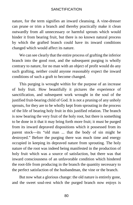nature, for the term signifies an inward cleansing. A vine-dresser can prune or trim a branch and thereby practically make it clean outwardly from all unnecessary or harmful sprouts which would hinder it from bearing fruit, but there is no known natural process by which the grafted branch could have its inward conditions changed which would affect its nature.

We can see clearly that the entire process of grafting the inferior branch into the good root, and the subsequent purging is wholly contrary to nature, for no man with an object of profit would do any such grafting, neither could anyone reasonably expect the inward conditions of such a graft to become changed.

This purging is wrought within for the purpose of an increase of holy fruit. How beautifully it pictures the experience of sanctification, and subsequent work wrought in the soul of the justified fruit-bearing child of God. It is not a pruning of any unholy sprouts, for they are to be wholly kept from sprouting in the process of the life of bearing holy fruit in this justified relation. The branch is now bearing the very fruit of the holy root, but there is something to be done in it that it may bring forth more fruit; it must be purged from its inward depraved dispositions which it possessed from its parent stock—its "old man ... that the body of sin might be destroyed." Before the purging there was much time and energy occupied in keeping its depraved nature from sprouting. The holy nature of the root was indeed being manifested in the production of holy fruit which was a source of satisfaction, but there was that inward consciousness of an unfavorable condition which hindered the root-life from producing in the branch the quantity necessary to the perfect satisfaction of the husbandman, the vine or the branch.

But now what a glorious change: the old nature is entirely gone, and the sweet soul-rest which the purged branch now enjoys is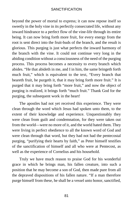beyond the power of mortal to express; it can now repose itself so sweetly in the holy vine in its perfectly consecrated life, without any inward hindrance to a perfect flow of the vine-life through its entire being. It can now bring forth more fruit, for every energy from the root is sent direct into the fruit-buds of the branch, and the result is glorious. This purging is just what perfects the inward harmony of the branch with the vine. It could not continue very long in the abiding condition without a consciousness of the need of the purging process. This process becomes a necessity to every branch which abides. "He that abideth in me, and I in him, the same bringeth forth much fruit," which is equivalent to the text, "Every branch that beareth fruit, he purgeth it, that it may bring forth more fruit." It is purged that it may bring forth "more fruit," and now the object of purging is realized, it brings forth "much fruit." Thank God for the purging, the subsequent work in the heart!

The apostles had not yet received this experience. They were clean through the word which Jesus had spoken unto them, to the extent of their knowledge and experience. Unquestionably they were clean from guilt and condemnation, for they were taken out from the world—were no more of it, and the world hated them. They were living in perfect obedience to all the known word of God and were clean through that word, but they had not had the pentecostal purging, "purifying their hearts by faith," as Peter himself testifies of the sanctification of himself and all who were at Pentecost, as well as the experience of Cornelius and his household.

Truly we have much reason to praise God for his wonderful grace in which he brings man, his fallen creature, into such a position that he may become a son of God, then made pure from all the depraved dispositions of his fallen nature. "If a man therefore purge himself from these, he shall be a vessel unto honor, sanctified,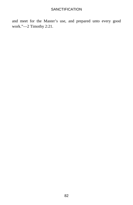and meet for the Master's use, and prepared unto every good work."—2 Timothy 2:21.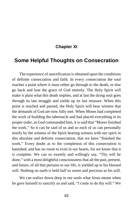## **Chapter XI**

## **Some Helpful Thoughts on Consecration**

The experience of sanctification is obtained upon the conditions of definite consecration and faith. In every consecration the soul reaches a point where it must either go through to the death, or else go back and lose the grace of God entirely. The Holy Spirit will make it plain what this death implies, and at last the dying soul goes through its last struggle and yields up its last treasure. When this point is reached and passed, the Holy Spirit will bear witness that the demands of God are now fully met. When Moses had completed the work of building the tabernacle and had placed everything in its proper order, as God commanded him, it is said that "Moses finished the work." So it can be said of us and so each of us can personally testify by the witness of the Spirit bearing witness with our spirit in this absolute and definite consecration, that we have "finished the work." Every doubt as to the completion of this consecration is banished, and has no room to exist in our hearts, for we know that it is complete. We can so sweetly and willingly say, "Thy will be done," with a most delightful consciousness that all the past, present, and future, of all that pertains to our life, is yielded up to his blessed will. Nothing on earth is held half so sweet and precious as his will.

We can realize down deep in our souls what Jesus meant when he gave himself to sanctify us and said, "I come to do thy will." We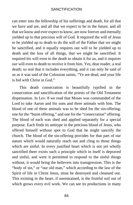can enter into the fellowship of his sufferings and death, for all that we have and are, and all that we expect to be in the future, and all that we know and ever expect to know, are now forever and eternally yielded up to that precious will of God. It required the will of Jesus to be yielded up to death to do the will of the Father that we might be sanctified, and it equally requires our will to be yielded up to death and the loss of all things, that we might be sanctified. It required his will even to the death to obtain it for us, and it requires our will even to death to receive it from him. Yes, dear reader, a real death; so real that it includes everything, and it can only be said of us as it was said of the Colossian saints, "Ye are dead, and your life is hid with Christ in God."

This death consecration is beautifully typified in the consecration and sanctification of the priests of the Old Testament dispensation. In Lev. 8 we read that Moses was commanded of the Lord to take Aaron and his sons and three animals with him. The blood of one of these animals was to be shed for the sin-offering; one for the "burnt offering," and one for the "consecration" offering. The blood of each was shed and applied separately for a special purpose. Each finds its antitype in the precious blood of Jesus, who offered himself without spot to God that he might sanctify the church. The blood of the sin-offering provides for that part of our nature which would naturally reach out and cling to those things which are sinful. In every justified heart which is not yet wholly sanctified there exists such a principle which in itself is depraved and sinful, and were it permitted to respond to the sinful things without, it would bring the believers into transgression. This is the "body of sin," or "our old man," which according to the law of the Spirit of life in Christ Jesus, must be destroyed and cleansed out. This existing in the heart, if unrestrained, is the fruitful soil out of which grows every evil work. We can see its productions in many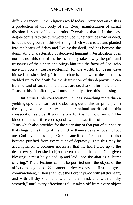different aspects in the religious world today. Every sect on earth is a production of this body of sin. Every manifestation of carnal division is some of its evil fruits. Everything that is in the least degree contrary to the pure word of God, whether it be word or deed, is but the outgrowth of this evil thing, which was created and planted into the hearts of Adam and Eve by the devil, and has become the dominating characteristic of depraved humanity. Justification does not cleanse this out of the heart. It only takes away the guilt and trespasses of the sinner, and brings him into the favor of God, who gave his Son a "trespass-offering" for the world. But Jesus gave himself a "sin-offering" for the church, and when the heart has yielded up to the death for the destruction of this depravity it can truly be said of such an one that we are dead to sin, for the blood of Jesus in this sin-offering will most certainly effect this cleansing.

But a true Bible consecration includes something more than a yielding up of the heart for the cleansing out of this sin principle. In the type, we see there was another animal sacrificed in this consecration service. It was the one for the "burnt offering." The blood of this sacrifice corresponds with the sacrifice of the blood of Jesus which also provides for the cleansing of that part of our nature that clings to the things of life which in themselves are not sinful but are God-given blessings. Our unsanctified affections must also become purified from every taint of depravity. That this may be accomplished, it becomes necessary that the heart yield up to the death every cherished object, even though it be a God-given blessing; it must be yielded up and laid upon the altar as a "burnt offering." The affections cannot be purified until the object of the affections is yielded. We cannot perfectly obey the first and great commandment, "Thou shalt love the Lord thy God with all thy heart, and with all thy soul, and with all thy mind, and with all thy strength," until every affection is fully taken off from every object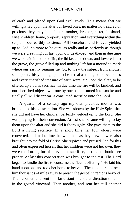of earth and placed upon God exclusively. This means that we willingly lay upon the altar our loved ones, no matter how sacred or precious they may be—father, mother, brother, sister, husband, wife, children, home, property, reputation, and everything within the scope of our earthly existence. All henceforth and forever yielded up to God, no more to be ours, as really and as perfectly as though we were breathing our last upon our death-bed, and then in due time we were laid into our coffin, the lid fastened down, and lowered into the grave, the grave filled up and nothing left but a mound to mark where our earthly remains lie. Or, to view the subject from another standpoint, this yielding up must be as real as though our loved ones and every cherished treasure of earth were laid upon the altar, to be offered up a burnt sacrifice. In due time the fire will be kindled, and our cherished objects will one by one be consumed into smoke and finally all will disappear, a consumed sacrifice unto the Lord.

A quarter of a century ago my own precious mother was brought to this consecration. She was shown by the Holy Spirit that she did not have her children perfectly yielded up to the Lord. She was praying for their conversion. At last she became willing to lay them upon the altar and she did it thoroughly. She gave them to the Lord a living sacrifice. In a short time her four oldest were converted, and in due time the two others as they grew up were also brought into the fold of Christ. She rejoiced and praised God for this and often expressed herself that her children were not her own, they were the Lord's, for his service or sacrifice, just as he should see proper. At last this consecration was brought to the test. The Lord began to kindle the fire to consume the "burnt offering." He laid his hand upon one and took her home to heaven. Then another, and sent him thousands of miles away to preach the gospel in regions beyond. Then another, and sent him far distant in another direction to labor in the gospel vineyard. Then another, and sent her still another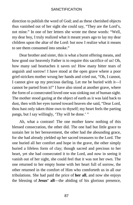direction to publish the word of God; and as these cherished objects thus vanished out of her sight she could say, "They are the Lord's, not mine." In one of her letters she wrote me these words: "Well, my dear boy, I truly realized what it meant years ago to lay my dear children upon the altar of the Lord: but now I realize what it means to see them consumed into smoke."

Dear brother and sister, this is what a burnt offering means, and how good our heavenly Father is to require this sacrifice of us! Oh, how many sad heartaches it saves us! How many bitter tears of anguish and sorrow! I have stood at the open grave where a poor grief-stricken mother wrung her hands and cried out, "Oh, I cannot, I cannot give up my precious darling. Let me be buried with it—I cannot be parted from it!" I have also stood at another grave, where the form of a consecrated loved one was sinking out of human sight. The mother stood gazing at the object of earth as it was laid back to dust, then with her eyes turned toward heaven she said, "Dear Lord, thou hast only taken thine own to thyself; my heart feels the parting pangs, but I say willingly, 'Thy will be done.' "

Ah, what a contrast! The one mother knew nothing of this blessed consecration, the other did. The one had but little grace to sustain her in her bereavement, the other had the abounding grace, for she had already yielded up her sacred treasures to the Lord. The one buried all her comfort and hope in the grave, the other simply buried a lifeless form of clay; though sacred and precious to her heart, yet she had consecrated it to the Lord, and now in seeing it vanish out of her sight, she could feel that it was not her own. The one returned to her empty home with her heart full of sorrow, the other returned in the comfort of Him who comforteth us in all our tribulations. She had paid the price of **her all**, and now she enjoys the blessing of **Jesus' all**—the abiding of his glorious presence,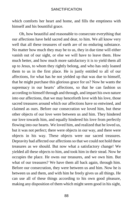which comforts her heart and home, and fills the emptiness with himself and his bountiful grace.

Oh, how beautiful and reasonable to consecrate everything that our affections have held sacred and dear, to him. We all know very well that all these treasures of earth are of no enduring substance. No matter how much they may be to us, they in due time will either vanish out of our sight, or else we will have to leave them. How much better, and how much more satisfactory it is to yield them all up to Jesus, to whom they rightly belong, and who has only loaned them to us in the first place. He is justly entitled to all of our affections, for what has he not yielded up that was due to himself, that he might purchase this glorious grace for us? Now he wants the supremacy in our hearts' affections, so that he can fashion us according to himself through and through, and impart his own nature into our affections, that we may henceforth love with his love, those sacred treasures around which our affections have so entwined, and claimed as ours. Before our consecration we loved him, but these other objects of our love were between us and him. They hindered our love towards him, and equally hindered his love from perfectly flowing into our hearts. We loved him, and realized that he loved us, but it was not perfect; there were objects in our way, and there were objects in his way. These objects were our sacred treasures. Depravity had affected our affections so that we could not hold these treasures as we should. But now what a satisfactory change! We yielded all these objects to him, and took him in their stead. Now he occupies the place. He owns our treasures, and we own him. But what of our treasures? We have them all back again, through him. Before our consecration, they were between us and him. Now he is between us and them, and with him he freely gives us all things. He can use all of these things according to his own good pleasure, making any disposition of them which might seem good in his sight,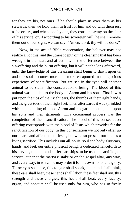for they are his, not ours. If he should place us over them as his stewards, then we hold them in trust for him and do with them just as he orders, and when, one by one, they consume away on the altar of his service, or, if according to his sovereign will, he shall remove them out of our sight, we can say, "Amen, Lord, thy will be done."

Now, in the act of Bible consecration, the believer may not realize all of this, and the utmost depth of the cleansing that has been wrought in the heart and affections, or the difference between the sin-offering and the burnt offering, but it will not be long afterward, until the knowledge of this cleansing shall begin to dawn upon us and our soul becomes more and more enraptured in this glorious experience of sanctification. But we see in the type still another animal to be slain—the consecration offering. The blood of this animal was applied to the body of Aaron and his sons. First it was put upon the tips of their right ears, the thumbs of their right hands, and the great toes of their right feet. Then afterwards it was sprinkled with the anointing oil upon Aaron and his garments too, and upon his sons and their garments. This ceremonial process was the completion of their sanctification. The blood of this consecration offering corresponds with the blood of Jesus which provides for the sanctification of our body. In this consecration we not only offer up our hearts and affections to Jesus, but we also present our bodies a living sacrifice. This includes our all, spirit, soul and body. Our ears, hands, and feet, our entire physical being, is dedicated henceforth to his service, to labor and suffer hardships, to be used in sacrifice, or service, either at the martyrs' stake or on the gospel altar, any way, and every way, in which he may order it for his own honor and glory. These eyes shall see, this tongue shall speak, this mind shall think, these ears shall hear, these hands shall labor, these feet shall run, this strength and these energies, this heart shall beat, every faculty, organ, and appetite shall be used only for him, who has so freely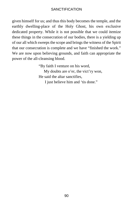given himself for us; and thus this body becomes the temple, and the earthly dwelling-place of the Holy Ghost, his own exclusive dedicated property. While it is not possible that we could itemize these things in the consecration of our bodies, there is a yielding up of our all which sweeps the scope and brings the witness of the Spirit that our consecration is complete and we have "finished the work." We are now upon believing grounds, and faith can appropriate the power of the all-cleansing blood.

> "By faith I venture on his word, My doubts are o'er, the vict'ry won, He said the altar sanctifies, I just believe him and 'tis done."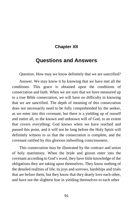### **Chapter XII**

# **Questions and Answers**

Question. How may we know definitely that we are sanctified?

Answer. We may know it by knowing that we have met all the conditions. This grace is obtained upon the conditions of consecration and faith. When we are sure that we have measured up to a true Bible consecration, we will have no difficulty in knowing that we are sanctified. The depth of meaning of this consecration does not necessarily need to be fully comprehended by the seeker, as we enter into this covenant, but there is a yielding up of ourself and entire all, to the known and unknown will of God, to an extent that covers everything. God knows when we have reached and passed this point, and it will not be long before the Holy Spirit will definitely witness to us that the consecration is complete, and the covenant ratified by this glorious indwelling consciousness.

This consecration may be illustrated by the contract and union of holy matrimony. When the bride and groom enter into the covenant according to God's word, they have little knowledge of the obligations they are taking upon themselves. They know nothing of the detailed realities of life; its joys and sorrows, hardships and trials that are before them; but they know that they dearly love each other, and have not the slightest fear in yielding themselves to each other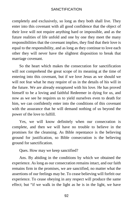completely and exclusively, so long as they both shall live. They enter into this covenant with all good confidence that the object of their love will not require anything hard or impossible, and as the future realities of life unfold and one by one they meet the many responsibilities that the covenant implies, they find that their love is equal to the responsibility, and as long as they continue to love each other they will never have the slightest disposition to break that marriage covenant.

So the heart which makes the consecration for sanctification will not comprehend the great scope of its meaning at the time of entering into this covenant, but if we love Jesus as we should we will not fear what he may require of us in the details of his will in the future. We are already enraptured with his love. He has proved himself to be a loving and faithful Redeemer in dying for us, and now as we see he requires us to yield ourselves even to death for him, we can confidently enter into the conditions of this covenant with the assurance that he will demand nothing of us beyond the power of the love to fulfill.

Yes, we will know definitely when our consecration is complete, and then we will have no trouble to believe in the promises for the cleansing. As Bible repentance is the believing ground for justification, so Bible consecration is the believing ground for sanctification.

Ques. How may we keep sanctified?

Ans. By abiding in the conditions by which we obtained the experience. As long as our consecration remains intact, and our faith remains firm in the promises, we are sanctified, no matter what the assertions of our feelings may be. To cease believing will forfeit our experience. To cease obeying in any respect will produce the same effect; but "if we walk in the light as he is in the light, we have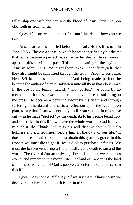fellowship one with another; and the blood of Jesus Christ his Son cleanseth us from all sin."

Ques. If Jesus was not sanctified until his death, how can we be?

Ans. Jesus was sanctified before his death. He testifies to it in John 10:36. There is a sense in which he was sanctified by his death; that is, he became a perfect redeemer by his death. He set himself apart for this specific purpose. This is the meaning of the saying of Jesus in John 17:19—"And for their sakes I sanctify myself, that they also might be sanctified through the truth." Another scripture, Heb. 5:9 has the same meaning. "And being made perfect, he became the author of eternal salvation unto all them that obey him." In the use of the terms "sanctify" and "perfect" we could by no means infer that Jesus was not pure and holy before his suffering on the cross. He became a perfect Saviour by his death and through suffering. It is absurd and casts a reflection upon the redemption plan, to say that Jesus was not holy until resurrection. In this sense only was he made "perfect" [by](https://www.gutenberg.org/files/26691/26691-h/26691-h.htm#cn9) his death. As to his people being holy and sanctified in this life, we have the whole word of God in favor of such a life. Thank God, it is his will that we should live "in holiness and righteousness before him all the days of our life." It does require a death on our part to obtain this glorious grace. In this respect we must die to get it. Jesus died to purchase it for us. We must die to receive it—not a literal death, but a death to sin and the world. The river of Jordan truly signifies a death, but we can cross over it and remain in this mortal life. The land of Canaan is the land of holiness, which all of God's people can enter into and possess in this life.

Ques. Does not the Bible say, "If we say that we have no sin we deceive ourselves and the truth is not in us?"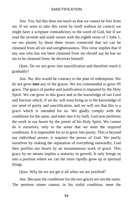Ans. Yes, but this does not teach us that we cannot be free from sin. If we were to take this verse by itself without its context we might have a scripture contradictory to the word of God, but if we read the seventh and ninth verses with the eighth verse of 1 John 1, we see plainly by these three verses connected that we can be cleansed from all sin and unrighteousness. This verse implies that if any one who has not been cleansed from sin should say he has no sin to be cleansed from, he deceives himself.

Ques. Do we not grow into sanctification and therefore reach it gradually?

Ans. No; this would be contrary to the plan of redemption. We do not grow **into** any of the graces. We are commanded to grow IN grace. The grace of pardon and justification is imparted by the Holy Spirit. We can grow in this grace and in the knowledge of our Lord and Saviour which, if we do, will soon bring us to the knowledge of our need of purity and sanctification, and we will see that this is a grace which is intended for us. We gladly comply with the conditions for the same, and enter into it by faith. God now performs the work in our hearts by the power of his Holy Spirit. We cannot do it ourselves, only in the sense that we meet the required conditions. It is impossible for us to grow into purity. This is beyond our individual power; it requires the power of God. We purify ourselves by making the separation of everything outwardly; God then purifies our hearts by an instantaneous work of grace. This grace by no means implies a maturity in growth. It only brings us into a position where we can the more rapidly grow up in spiritual things.

Ques. Why do we not get it all when we are justified?

Ans. Because the conditions for the two graces are not the same. The penitent sinner cannot, in his sinful condition, meet the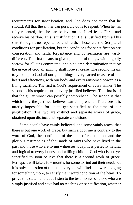requirements for sanctification, and God does not mean that he should. All that the sinner can possibly do is to repent. When he has fully repented, then he can believe on the Lord Jesus Christ and receive his pardon. This is justification. He is justified from all his sins through true repentance and faith. Those are the Scriptural conditions for justification, but the conditions for sanctification are consecration and faith. Repentance and consecration are vastly different. The first means to give up all sinful things, with a godly sorrow for all sins committed, and a solemn determination that by the grace of God all sinning shall forever cease. The second means to yield up to God all our good things, every sacred treasure of our heart and affections, with our body and every ransomed power, as a living sacrifice. The first is God's requirement of every sinner. The second is his requirement of every justified believer. The first is all that the guilty sinner can possibly comprehend. The second is that which only the justified believer can comprehend. Therefore it is utterly impossible for us to get sanctified at the time of our justification. The two are distinct and separate works of grace, obtained upon distinct and separate conditions.

Some people have vainly believed, and some vainly teach, that there is but one work of grace; but such a doctrine is contrary to the word of God, the conditions of the plan of redemption, and the glorious testimonies of thousands of saints who have lived in the past and those who are living witnesses today. It is perfectly natural and logical to every honest and willing child of God who is not yet sanctified to soon believe that there is a second work of grace. Perhaps it will take a few months for some to find out their need, but it is only a question of time till everyone will find an inward longing for something more, to satisfy the inward condition of the heart. To prove this statement let us listen to the testimonies of those who are simply justified and have had no teaching on sanctification, whether

95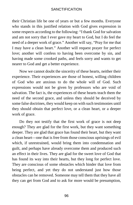their Christian life be one of years or but a few months. Everyone who stands in this justified relation with God gives expression in some respects according to the following: "I thank God for salvation and am not sorry that I ever gave my heart to God, but I do feel the need of a deeper work of grace." Another will say, "Pray for me that I may have a clean heart." Another will request prayer for perfect love; another will confess to having been overcome by sin, and having made some crooked paths, and feels sorry and wants to get nearer to God and get a better experience.

Now we cannot doubt the sincerity of these hearts, neither their experience. Their experiences are those of honest, willing children of God who are anxious to do the whole will of God. Such expressions would not be given by professors who are void of salvation. The fact is, the experiences of these hearts teach them the need of the second grace, and unless they should be deceived by some false doctrines, they would keep on with such testimonies until they should obtain that perfect love, or a clean heart, or a deeper work of grace.

Do they not testify that the first work of grace is not deep enough? They are glad for the first work, but they want something deeper. They are glad that grace has found their heart, but they want a clean heart—one that is free from those conscious uprisings of evil which, if unrestrained, would bring them into condemnation and guilt, and perhaps have already overcome them and produced such an effect in their lives. They are glad for the sweet love of God that has found its way into their hearts, but they long for perfect love. They are conscious of some obstacles which hinder that love from being perfect, and yet they do not understand just how those obstacles can be removed. Someone may tell them that they have all they can get from God and to ask for more would be presumption,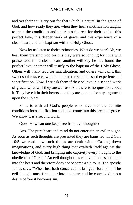and yet their souls cry out for that which is natural in the grace of God, and how ready they are, when they hear sanctification taught, to meet the conditions and enter into the rest for their souls—this perfect love, this deeper work of grace, and this experience of a clean heart, and this baptism with the Holy Ghost.

Now let us listen to their testimonies. What do we hear? Ah, we hear them praising God for this they were so longing for. One will praise God for a clean heart; another will say he has found the perfect love; another will testify to the baptism of the Holy Ghost. Others will thank God for sanctification, and others will call it this sweet soul-rest, etc., which all mean the same blessed experience of sanctification. Now if we ask them if they believe in a second work of grace, what will they answer us? Ah, there is no question about it. They have it in their hearts, and they are spoiled for any argument upon the subject.

So it is with all God's people who have met the definite conditions for sanctification and have come into this precious grace. We know it is a second work.

Ques. How can one keep free from evil thoughts?

Ans. The pure heart and mind do not entertain an evil thought. As soon as such thoughts are presented they are banished. In 2 Cor. 10:5 we read how such things are dealt with. "Casting down imaginations, and every high thing that exalteth itself against the knowledge of God, and bringing into captivity every thought to the obedience of Christ." An evil thought thus captivated does not enter into the heart and therefore does not become a sin to us. The apostle James says, "When lust hath conceived, it bringeth forth sin." The evil thought must first enter into the heart and be conceived into a desire before it becomes sin.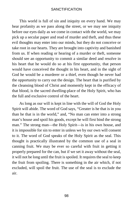This world is full of sin and iniquity on every hand. We may hear profanity as we pass along the street, or we may see iniquity before our eyes daily as we come in contact with the world, we may pick up a secular paper and read of murder and theft, and thus these evil thoughts may enter into our minds, but they do not conceive or take root in our hearts. They are brought into captivity and banished from us. If when reading or hearing of a murder or theft, someone should see an opportunity to commit a similar deed and resolve in his heart that he would do so at his first opportunity, that person would have conceived the thought in his heart, and in the sight of God he would be a murderer or a thief, even though he never had the opportunity to carry out the design. The heart that is purified by the cleansing blood of Christ and momently kept in the efficacy of that blood, is the sacred dwelling-place of the Holy Spirit, who has the full and exclusive control of the heart.

As long as our will is kept in line with the will of God the Holy Spirit will abide. The word of God says, "Greater is he that is in you than he that is in the world," and, "No man can enter into a strong man's house and spoil his goods, except he will first bind the strong man." The strong man—the Holy Spirit—is in his own house, and it is impossible for sin to enter in unless we by our own will consent to it. The word of God speaks of the Holy Spirit as the seal. This thought is practically illustrated by the common use of a seal in canning fruit. We may be ever so careful with fruit in getting it properly prepared for the can, but if we set it away without the seal, it will not be long until the fruit is spoiled. It requires the seal to keep the fruit from spoiling. There is something in the air which, if not excluded, will spoil the fruit. The use of the seal is to exclude the air.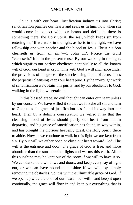So it is with our heart. Justification inducts us into Christ; sanctification purifies our hearts and seals us in him; now when sin would come in contact with our hearts and defile it, there is something there, the Holy Spirit, the seal, which keeps sin from entering in. "If we walk in the light, as he is in the light, we have fellowship one with another and the blood of Jesus Christ his Son cleanseth us from all sin."—1 John 1:7. Notice the word "cleanseth." It is in the present tense. By our walking in the light, which signifies our perfect obedience continually to all the known will of God, our heart is kept in line with God's will and hence under the provisions of his grace—the sin-cleansing blood of Jesus. Thus the perpetual cleansing keeps our heart pure. By the inwrought work of sanctification we **obtain** this purity, and by our obedience to God, walking in the light, we **retain** it.

In this blessed grace, no evil thought can enter our heart unless by our consent. We have willed it so that we forsake all sin and turn to God; thus his grace of justification has found its way into our heart. Then by a definite consecration we willed it so that the cleansing blood of Jesus should purify our heart from inborn depravity, and his grace of sanctification has found its way within, and has brought the glorious heavenly guest, the Holy Spirit, there to abide. Now as we continue to walk in this light we are kept from sin. By our will we either open or close our heart toward God. The will is the entrance and door. The grace of God is free, and more abundant than the sunshine that lights and warms this earth. All of this sunshine may be kept out of the room if we will to have it so. We can darken the windows and doors, and keep every ray of light out, or we can have abundant sunshine if we will, by simply removing the obstacles. So it is with the illimitable grace of God. If we open up wide the door of our heart—our will—and keep it open continually, the grace will flow in and keep out everything that is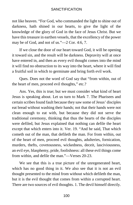not like heaven. "For God, who commanded the light to shine out of darkness, hath shined in our hearts, to give the light of the knowledge of the glory of God in the face of Jesus Christ. But we have this treasure in earthen vessels, that the excellency of the power may be of God, and not of us."—2 Cor. 4:6, 7.

If we close the door of our heart toward God, it will be opening it toward sin, and the result will be darkness. Depravity will at once have entered in, and then as every evil thought comes into the mind it will find no obstruction to its way into the heart, where it will find a fruitful soil in which to germinate and bring forth evil work.

Ques. Does not the word of God say that "from within, out of the heart of men, proceed evil thoughts," etc.?

Ans. Yes, this is true; but we must consider what kind of heart Jesus is speaking about. Let us turn to Mark 7. The Pharisees and certain scribes found fault because they saw some of Jesus' disciples eat bread without washing their hands; not that their hands were not clean enough to eat with, but because they did not serve the traditional ceremony, thinking that thus the hearts of the disciples were defiled, but Jesus explained that nothing can defile the heart except that which enters into it. Ver. 19. "And he said, That which cometh out of the man, that defileth the man. For from within, out of the heart of men, proceed evil thoughts, adulteries, fornication, murders, thefts, covetousness, wickedness, deceit, lasciviousness, an evil eye, blasphemy, pride, foolishness: all these evil things come from within, and defile the man."—Verses 20-23.

We see that this is a true picture of the unregenerated heart, which has no good thing in it. We also see that it is not an evil thought presented to the mind from without which defileth the man, but it is the evil thought that comes from within a corrupted heart. There are two sources of evil thoughts. 1. The devil himself directly.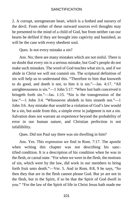2. A corrupt, unregenerate heart, which is a hotbed and nursery of the devil. From either of these outward sources evil thoughts may be presented to the mind of a child of God, but from neither can our hearts be defiled if they are brought into captivity and banished, as will be the case with every obedient soul.

Ques. Is not every mistake a sin?

Ans. No; there are many mistakes which are not sinful. There is no doubt that every sin is a serious mistake, but God's people do not make such mistakes. The word of God teaches what sin is, and if we abide in Christ we will not commit sin. The scriptural definition of sin will help us to understand this. "Therefore to him that knoweth to do good, and doeth it not, to him it is sin."—Jas. 4:17. "All unrighteousness is sin."—1 John 5:17. "When lust hath conceived it bringeth forth sin."—Jas. 1:15. "Sin is the transgression of the law."—1 John 3:4. "Whosoever abideth in him sinneth not."—1 John 3:6. Any mistake that would be a violation of God's law would be a sin, but aside from this, a simple error in judgment is not a sin. Salvation does not warrant an experience beyond the probability of error in our human nature, and Christian perfection is not infallibility.

Ques. Did not Paul say there was sin dwelling in him?

Ans. Yes. This expression we find in Rom. 7:17. The apostle when writing this chapter was not describing his [sanc](https://www.gutenberg.org/files/26691/26691-h/26691-h.htm#cn10)[tified](https://www.gutenberg.org/files/26691/26691-h/26691-h.htm#cn10) condition. It is a description of his condition when he was in the flesh, or carnal state. "For when we were in the flesh, the motions of sin, which were by the law, did work in our members to bring forth fruit unto death."—Ver. 5. And in Rom. 8:8, 9 he says, "So then they that are in the flesh cannot please God. But ye are not in the flesh, but in the Spirit, if so be that the Spirit of God dwell in you." "For the law of the Spirit of life in Christ Jesus hath made me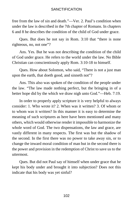free from the law of sin and death."—Ver. 2. Paul's condition when under the law is described in the 7th chapter of Romans. In chapters 6 and 8 he describes the condition of the child of God under grace.

Ques. But does he not say in Rom. 3:10 that "there is none righteous, no, not one"?

Ans. Yes. But he was not describing the condition of the child of God under grace. He refers to the world under the law. No Bible Christian can conscientiously apply Rom. 3:10-18 to himself.

Ques. How about Solomon, who said, "There is not a just man upon the earth, that doeth good, and sinneth not"?

Ans. This also was spoken of the condition of the people under the law. "The law made nothing perfect, but the bringing in of a better hope did by the which we draw nigh unto God."—Heb. 7:19.

In order to properly apply scripture it is very helpful to always consider: 1. Who wrote it? 2. When was it written? 3. Of whom or to whom was it written? In this manner it is easy to determine the meaning of such scriptures as here have been mentioned and many others, which would otherwise render it impossible to harmonize the whole word of God. The two dispensations, the law and grace, are vastly different in many respects. The first was but the shadow of the second. In the first there was no power to take away sin, or to change the inward moral condition of man but in the second there is the power and provision in the redemption of Christ to save us to the uttermost.

Ques. But did not Paul say of himself when under grace that he kept his body under and brought it into subjection? Does not this indicate that his body was yet sinful?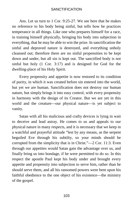Ans. Let us turn to 1 Cor. 9:25-27. We see here that he makes no reference to his body being sinful, but tells how he practices temperance in all things. Like one who prepares himself for a race, in training himself physically, bringing his body into subjection in everything, that he may be able to win the prize. In sanctification the sinful and depraved nature is destroyed, and everything unholy cleansed out; therefore there are no sinful propensities to be kept down and under, but all sin is kept out. The sanctified body is not sinful but holy (1 Cor. 3:17) and is designed for God for the dwelling-place of his Holy Spirit.

Every propensity and appetite is now restored to its condition of purity, in which it was created before sin entered into the world, but yet we are human. Sanctification does not destroy our human nature, but simply brings it into easy control, with every propensity in harmony with the design of its Creator. But we are yet in this world and the creature—our physical nature—is yet subject to vanity.

Satan with all his malicious and crafty devices is lying in wait to deceive and lead astray. He comes to us and appeals to our physical nature in many respects, and it is necessary that we keep in a watchful and prayerful attitude "lest by any means, as the serpent beguiled Eve through his subtilty, so your minds should be corrupted from the simplicity that is in Christ."—2 Cor. 11:3. Even through our appetites would Satan gain the advantage over us, and finally bring us into bondage, if he were permitted to do so. In this respect the apostle Paul kept his body under and brought every appetite and propensity into subjection to serve him, rather than he should serve them, and all his ransomed powers were bent upon his faithful obedience to the one object of his existence—the ministry of the gospel.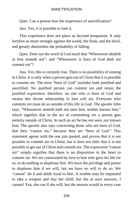Ques. Can a person lose the experience of sanctification?

Ans. Yes, it is possible to lose it.

This experience does not place us beyond temptation. It only fortifies us more strongly against the world, the flesh, and the devil, and greatly diminishes the probability of falling.

Ques. Does not the word of God teach that "Whosoever abideth in him sinneth not"; and "Whosoever is born of God doth not commit sin"?

Ans. Yes; this is certainly true. There is no possibility of sinning in Christ. It is only when a person gets out of Christ that it is possible to commit sin. The term "born of God" includes both justified and sanctified. No justified person can commit sin and retain the justified experience; therefore, no one who is born of God and retains this divine relationship in him will sin. Everyone who commits sin must do so outside of this life in God. The apostle John says, "Whosoever sinneth hath not seen him, neither known him," which signifies that in the act of committing sin a person gets entirely outside of Christ. In such an act he has not seen, nor known him. The apostle also says concerning those who are born of God, that they "cannot sin," because they are "born of God." This statement agrees with the one just quoted, and proves that it is not possible to commit sin in Christ; but it does not infer that it is not possible to get out of Christ and commit sin. The expression "cannot sin" simply signifies that there is no disposition in the heart to commit sin. We are constrained by love to him who gave his life for us, to do nothing to displease him. We have the privilege and power to displease him if we will, but we have no will to do so. We "cannot" do it and abide loyal to him. A mother may be requested to take a weapon and slay her child, but she at once answers, I cannot! Yea, she can if she will; but the answer would in every case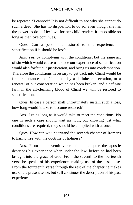be repeated "I cannot!" It is not difficult to see why she cannot do such a deed. She has no disposition to do so, even though she has the power to do it. Her love for her child renders it impossible so long as that love continues.

Ques. Can a person be restored to this experience of sanctification if it should be lost?

Ans. Yes, by complying with the conditions; but the same act of sin which would cause us to lose our experience of sanctification would also forfeit our justification, and bring us into condemnation. Therefore the conditions necessary to get back into Christ would be first, repentance and faith; then by a definite consecration, or a renewal of our consecration which has been broken, and a definite faith in the all-cleansing blood of Christ we will be restored to sanctification.

Ques. In case a person shall unfortunately sustain such a loss, how long would it take to become restored?

Ans. Just as long as it would take to meet the conditions. No one in such a case should wait an hour, but knowing just what conditions are required, they should be complied with at once.

Ques. How can we understand the seventh chapter of Romans to harmonize with the doctrine of holiness?

Ans. From the seventh verse of this chapter the apostle describes his experience when under the law, before he had been brought into the grace of God. From the seventh to the fourteenth verse he speaks of his experience, making use of the past tense. From the fourteenth verse through the rest of the chapter he makes use of the present tense, but still continues the description of his past experience.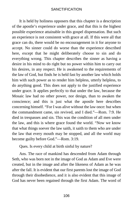It is held by holiness opposers that this chapter is a description of the apostle's experience under grace, and that this is the highest possible experience attainable in this gospel dispensation. But such an experience is not consistent with grace at all. If this were all that grace can do, there would be no encouragement in it for anyone to accept. No sinner could do worse than the experience described here, except that he might deliberately choose to sin and do everything wrong. This chapter describes the sinner as having a desire in his mind to do right but no power within him to carry out his desires, in any respect. He is awakened to the requirements of the law of God, but finds he is held fast by another law which holds him with such power as to render him helpless, utterly helpless, to do anything good. This does not apply to the justified experience under grace. It applies perfectly to that under the law, because the Mosaic law had no other power, nor design, than to awaken the conscience; and this is just what the apostle here describes concerning himself. "For I was alive without the law once: but when the commandment came, sin revived, and I died."—Rom. 7:9. He died in trespasses and sin. This was the condition of all men under the law, and this is where grace found the world. "Now we know that what things soever the law saith, it saith to them who are under the law that every mouth may be stopped, and all the world may become guilty before God."—Rom. 3:19.

Ques. Is every child at birth sinful by nature?

Ans. The race of mankind has descended from Adam through Seth, who was born not in the image of God as Adam and Eve were created, but in the image and after the likeness of Adam as he was after the fall. It is evident that our first parents lost the image of God through their disobedience, and it is also evident that this image of God has never been regained through the first Adam. The word of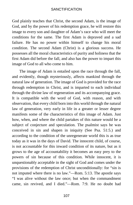God plainly teaches that Christ, the second Adam, is the image of God, and by the power of his redemption grace, he will restore this image to every son and daughter of Adam's race who will meet the conditions for the same. The first Adam is depraved and a sad failure. He has no power within himself to change his moral condition. The second Adam (Christ) is a glorious success. He possesses all the moral characteristics of purity and holiness that the first Adam did before the fall, and also has the power to impart this image of God to all who come to him.

The image of Adam is entailed upon the race through the fall, and evidently, though mysteriously, affects mankind through the natural law of generation. The image of God is provided for the race through redemption in Christ, and is imparted to each individual through the divine law of regeneration and its accompanying grace. It is compatible with the word of God, with reason, and with observation, that every child born into this world through the natural law of generation, very early in life in a greater or lesser degree manifests some of the characteristics of this image of Adam. Just how, when, and where the child partakes of this nature would be a subject of conjecture and speculation. The psalmist says he was conceived in sin and shapen in iniquity (See Psa. 51:5.) and according to the condition of the unregenerate world this is as true today as it was in the days of David. The innocent child, of course, is not accountable for this inward condition of its nature, but as it grows to the age of accountability it becomes an easy prey to the powers of sin because of this condition. While innocent, it is unquestionably acceptable in the sight of God and comes under the provisions of the redemption of Christ unconditionally: for "sin is not imputed where there is no law."—Rom. 5:13. The apostle says "I was alive without the law once; but when the commandment came, sin revived, and I died."—Rom. 7:9. He no doubt had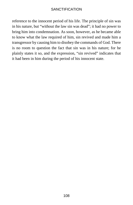reference to the innocent period of his life. The principle of sin was in his nature, but "without the law sin was dead"; it had no power to bring him into condemnation. As soon, however, as he became able to know what the law required of him, sin revived and made him a transgressor by causing him to disobey the commands of God. There is no room to question the fact that sin was in his nature; for he plainly states it so, and the expression, "sin revived" indicates that it had been in him during the period of his innocent state.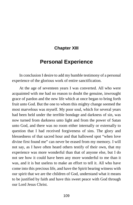# **Chapter [XIII](https://www.gutenberg.org/files/26691/26691-h/26691-h.htm#cn11)**

# **Personal Experience**

In conclusion I desire to add my humble testimony of a personal experience of the glorious work of entire sanctification.

At the age of seventeen years I was converted. All who were acquainted with me had no reason to doubt the genuine, inwrought grace of pardon and the new life which at once began to bring forth fruit unto God. But the one to whom this mighty change seemed the most marvelous was myself. My poor soul, which for several years had been held under the terrible bondage and darkness of sin, was now turned from darkness unto light and from the power of Satan unto God, and there was no room either internally or externally to question that I had received forgiveness of sins. The glory and blessedness of that sacred hour and that hallowed spot "when love divine first found me" can never be erased from my memory. I will not say, as I have often heard others testify of their own, that my experience was more wonderful than that of anyone else, but I do not see how it could have been any more wonderful to me than it was, and it is but useless to make an effort to tell it. All who have come into this precious life, and have the Spirit bearing witness with our spirit that we are the children of God, understand what it means to be justified by faith and have this sweet peace with God through our Lord Jesus Christ.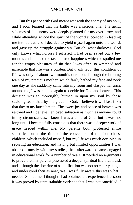But this peace with God meant war with the enemy of my soul, and I soon learned that the battle was a serious one. The artful schemes of the enemy were deeply planned for my overthrow, and while attending school the spirit of the world succeeded in leading me into defeat, and I decided to yield myself again unto the world, and gave up the struggle against sin. But oh, what darkness! God only knows what horrors I suffered. I had been saved but a few months and had had the taste of true happiness which so spoiled me for the empty pleasures of sin that I was often so wretched and miserable that life was a burden. But thank God, this condition of life was only of about two month's duration. Through the burning tears of my precious mother, which fairly bathed my face and neck one day as she suddenly came into my room and clasped her arms around me, I was enabled again to decide for God and heaven. This decision was so thoroughly burned in upon my soul by those scalding tears that, by the grace of God, I believe it will last from that day to my latest breath. The sweet joy and peace of heaven was restored and I believe I enjoyed salvation as much as anyone could in my circumstances. I knew I was a child of God, but it was not long until I became fully conscious that there was a deeper work of grace needed within me. My parents both professed entire sanctification at the time of the conversion of the four oldest children, which included myself, but my life was much occupied in securing an education, and having but limited opportunities I was absorbed mostly with my studies, then afterward became engaged in educational work for a number of years. It needed no arguments to prove that my parents possessed a deeper spiritual life than I did, and although the doctrine of sanctification was not so clearly taught and understood then as now, yet I was fully aware this was what I needed. Sometimes I thought I had obtained the experience, but soon it was proved by unmistakable evidence that I was not sanctified. I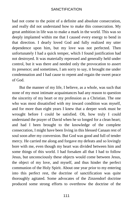had not come to the point of a definite and absolute consecration, and really did not understand how to make this consecration. My great ambition in life was to make a mark in the world. This was so deeply implanted within me that I caused every energy to bend in that direction. I dearly loved God and fully realized my utter dependence upon him, but my love was not perfected. Then unfortunately I had a quick temper, which I found justification had not destroyed. It was materially repressed and generally held under control, but it was there and needed only the provocation to assert its presence; and sometimes, I am sorry to say, it brought me under condemnation and I had cause to repent and regain the sweet peace of God.

But the manner of my life, I believe, as a whole, was such that none of my most intimate acquaintances had any reason to question the sincerity of my heart or my profession as a Christian. The one who was most dissatisfied with my inward condition was myself, and for more than eight years I knew that a deeper work must be wrought before I could be satisfied. Oh, how truly I could understand the prayer of David when he so longed for a clean heart; and had I been brought to the knowledge of the complete consecration, I might have been living in this blessed Canaan rest of soul soon after my conversion. But God was good and full of tender mercy. He carried me along and forgave my defeats and so lovingly bore with me, even though my heart was divided between him and some things of this world. I had forsaken all that I had to follow Jesus, but unconsciously these objects would come between Jesus, the object of my love, and myself, and thus hinder the perfect communion of the Holy Spirit. About one year prior to my entering into this perfect rest, the doctrine of sanctification was quite thoroughly agitated. Some advocates of the Zinzendorf doctrine produced some strong efforts to overthrow the doctrine of the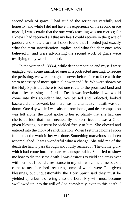second work of grace. I had studied the scriptures carefully and honestly, and while I did not have the experience of the second grace myself, I was certain that the one-work teaching was not correct; for I knew I had received all that my heart could receive in the grace of pardon, and knew also that I soon found that I needed just exactly what the term sanctification implies, and what the dear ones who believed in and were advocating the second work of grace were testifying to by word and deed.

In the winter of 1883-4, while dear companion and myself were engaged with some sanctified ones in a protracted meeting, to rescue the perishing, we were brought as never before face to face with the stern necessity of more spiritual power and life. We were shown by the Holy Spirit that there is but one route to the promised land and that is by crossing the Jordan. Death was inevitable if we would come into this abundant life. We paused and reflected, looked backward and forward, but there was no alternative—death was our doom. One day while I was absent from home, and dear companion was left alone, the Lord spoke to her so plainly that she had one cherished idol that must necessarily be sacrificed. It was a Godgiven blessing, but must be yielded freely to him. She obeyed and entered into the glory of sanctification. When I returned home I soon found that the work in her was done. Something marvelous had been accomplished. It was wonderful what a change. She told me of the death she had to pass through and I fully realized it. The divine glory which had come into her heart was unspeakable. She tried to show me how to die the same death. I was desirous to yield and cross over with her, but I found a resistance in my will which held me back. I came to my cherished treasures, some of which were God-given blessings, but unquestionably the Holy Spirit said they must be yielded up a burnt offering unto the Lord. My will must become swallowed up into the will of God completely, even to this death. I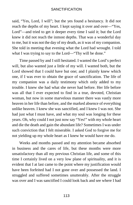said, "Yes, Lord, I will"; but the yes found a hesitancy. It did not reach the depths of my heart. I kept saying it over and over—"Yes, Lord"—and tried to get it deeper every time I said it; but the Lord knew it did not reach the inmost depths. That was a wonderful day to me, but it was not the day of my death, as it was of my companion. She told in meeting that evening what the Lord had wrought. I told what I was trying to say to the Lord—"Thy will be done."

Time passed by and I still hesitated. I wanted the Lord's perfect will, but also wanted just a little of my will. I wanted both, but the Lord showed that I could have but one; and I plainly knew which one, if I was ever to obtain the grace of sanctification. The life of my companion was a daily testimony which only added to my trouble. I knew she had what she never had before. Her life before was all that I ever expected to find in a true, devoted, Christian woman, but now in some marvelous manner there was vastly more heaven in her life than before, and the marked absence of everything unlike heaven. I knew she was sanctified, and I knew I was not. She had just what I must have, and what my soul was longing for these years. Oh, why could I not just now say "Yes!" with my whole heart and die the death and gain the abundant life? Sometimes I was under such conviction that I felt miserable. I asked God to forgive me for not yielding up my whole heart as I knew he would have me do.

Weeks and months passed and my attention became absorbed in business and the cares of life, but these months were more unsatisfactory than all my previous Christian life, and some of this time I certainly lived on a very low plane of spirituality, and it is evident that I at last came to the point where my justification would have been forfeited had I not gone over and possessed the land. I struggled and suffered sometimes unutterably. After the struggle was over and I was sanctified I could look back and see where I had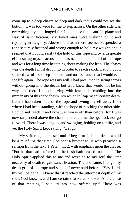come up to a deep chasm so deep and dark that I could not see the bottom. It was too wide for me to step across. On the other side was everything my soul longed for. I could see the beautiful plane and way of sanctification. My loved ones were walking on it and rejoicing in its glory. Above the chasm there seemed suspended a rope securely fastened and strong enough to hold my weight, and it seemed that I could easily take hold of this rope and by a desperate effort swing myself across the chasm. I had taken hold of the rope and was for a long time hesitating about making the leap. The chasm was the depth I must drop into in order to reach sanctification, but it seemed awful—so deep and dark, and no assurance that I would ever see life again. The rope was my will. I had presumed to swing across without going into the death, but God knew that would not be his way, and there I stood, gazing with fear and trembling into the immensity of this dark chasm into which to leap meant certain death. Later I had taken hold of the rope and swung myself away from where I had been standing, with the hope of reaching the other side. I could not reach it and now was worse off than before, for I was now suspended above the chasm and could neither go back nor go forward. There I was hanging and swinging, holding on for life, and yet the Holy Spirit kept saying, "Let go."

My sufferings increased until I began to feel that death would be a relief. At that time God sent a brother to us who preached a sermon from the text, 1 Peter 4:1, 2, with emphasis upon the clause, "For he that hath suffered in the flesh hath ceased from sin." The Holy Spirit applied this to me and revealed to my soul the utter necessity of death to gain sanctification. The end came, I let go my death grip of the rope and said as I never said before, "Yes, Lord, thy will be done!" I knew that it reached the uttermost depth of my soul. God knew it, and I am certain that Satan knew it. At the close of that meeting I said, "I am now offered up." There was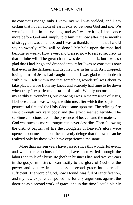no [conscious](https://www.gutenberg.org/files/26691/26691-h/26691-h.htm#cn12) change only I knew my will was yielded, and I am certain that not an atom of earth existed between God and me. We went home late in the evening, and as I was retiring I knelt once more before God and simply told him that now after these months of struggle it was all ended and I was so thankful to him that I could say so sweetly, "Thy will be done." My hold upon the rope had become so weary. How sweet and blessed now to rest so securely in that infinite will. The great chasm was deep and dark, but I was so glad that I had let go and dropped into it; for I was so conscious now that even in the darkness and depths I was in his will. As I dropped, loving arms of Jesus had caught me and I was glad to be in death with him. I felt within me that something wonderful was about to take place. I arose from my knees and scarcely had time to lie down when truly I experienced a taste of death. Wholly unconscious of my earthly surroundings, but knowing I was in the presence of Jesus, I believe a death was wrought within me, after which the baptism of pentecostal fire and the Holy Ghost came upon me. The refining fire went through my very body and the effect seemed terrible. The sublime consciousness of the presence of heaven and the majesty of God was such as mortal tongue can never describe. Then following the distinct baptism of fire the floodgates of heaven's glory were opened upon me, and, oh, the heavenly deluge that followed can be realized only by those who have experienced the same.

More than sixteen years have passed since this wonderful event, and while the emotions of feeling have been varied through the labors and toils of a busy life (both in business life, and twelve years in the gospel ministry), I can testify to the glory of God that the power and victory in this blessed second grace has been allsufficient. The word of God, now I found, was full of sanctification, and my new experience spoiled me for any arguments against the doctrine as a second work of grace, and in due time I could plainly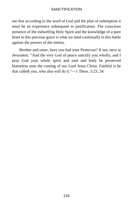see that according to the word of God and the plan of redemption it must be an experience subsequent to justification. The conscious presence of the indwelling Holy Spirit and the knowledge of a pure heart in this precious grace is what we need continually in this battle against the powers of the enemy.

Brother and sister, have you had your Pentecost? If not, tarry at Jerusalem. "And the very God of peace sanctify you wholly; and I pray God your whole spirit and soul and body be preserved blameless unto the coming of our Lord Jesus Christ. Faithful is he that calleth you, who also will do it."—1 Thess. 5:23, 24.